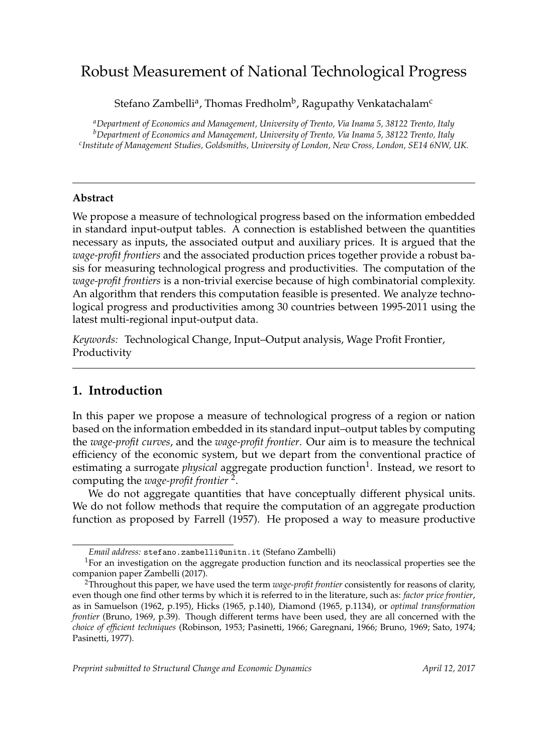# Robust Measurement of National Technological Progress

Stefano Zambelli<sup>a</sup>, Thomas Fredholm<sup>b</sup>, Ragupathy Venkatachalam<sup>c</sup>

*<sup>a</sup>Department of Economics and Management, University of Trento, Via Inama 5, 38122 Trento, Italy <sup>b</sup>Department of Economics and Management, University of Trento, Via Inama 5, 38122 Trento, Italy c Institute of Management Studies, Goldsmiths, University of London, New Cross, London, SE14 6NW, UK.*

## **Abstract**

We propose a measure of technological progress based on the information embedded in standard input-output tables. A connection is established between the quantities necessary as inputs, the associated output and auxiliary prices. It is argued that the *wage-profit frontiers* and the associated production prices together provide a robust basis for measuring technological progress and productivities. The computation of the *wage-profit frontiers* is a non-trivial exercise because of high combinatorial complexity. An algorithm that renders this computation feasible is presented. We analyze technological progress and productivities among 30 countries between 1995-2011 using the latest multi-regional input-output data.

*Keywords:* Technological Change, Input–Output analysis, Wage Profit Frontier, Productivity

## **1. Introduction**

In this paper we propose a measure of technological progress of a region or nation based on the information embedded in its standard input–output tables by computing the *wage-profit curves*, and the *wage-profit frontier*. Our aim is to measure the technical efficiency of the economic system, but we depart from the conventional practice of estimating a surrogate *physical* aggregate production function<sup>1</sup>. Instead, we resort to computing the *wage-profit frontier* <sup>2</sup> .

We do not aggregate quantities that have conceptually different physical units. We do not follow methods that require the computation of an aggregate production function as proposed by Farrell (1957). He proposed a way to measure productive

*Email address:* stefano.zambelli@unitn.it (Stefano Zambelli)

<sup>&</sup>lt;sup>1</sup>For an investigation on the aggregate production function and its neoclassical properties see the companion paper Zambelli (2017).

<sup>2</sup>Throughout this paper, we have used the term *wage-profit frontier* consistently for reasons of clarity, even though one find other terms by which it is referred to in the literature, such as: *factor price frontier*, as in Samuelson (1962, p.195), Hicks (1965, p.140), Diamond (1965, p.1134), or *optimal transformation frontier* (Bruno, 1969, p.39). Though different terms have been used, they are all concerned with the *choice of efficient techniques* (Robinson, 1953; Pasinetti, 1966; Garegnani, 1966; Bruno, 1969; Sato, 1974; Pasinetti, 1977).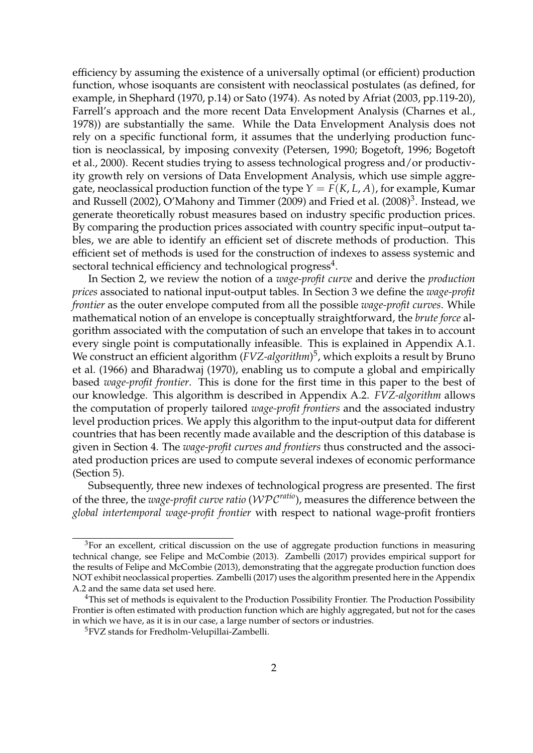efficiency by assuming the existence of a universally optimal (or efficient) production function, whose isoquants are consistent with neoclassical postulates (as defined, for example, in Shephard (1970, p.14) or Sato (1974). As noted by Afriat (2003, pp.119-20), Farrell's approach and the more recent Data Envelopment Analysis (Charnes et al., 1978)) are substantially the same. While the Data Envelopment Analysis does not rely on a specific functional form, it assumes that the underlying production function is neoclassical, by imposing convexity (Petersen, 1990; Bogetoft, 1996; Bogetoft et al., 2000). Recent studies trying to assess technological progress and/or productivity growth rely on versions of Data Envelopment Analysis, which use simple aggregate, neoclassical production function of the type  $Y = F(K, L, A)$ , for example, Kumar and Russell (2002), O'Mahony and Timmer (2009) and Fried et al. (2008) $^3$ . Instead, we generate theoretically robust measures based on industry specific production prices. By comparing the production prices associated with country specific input–output tables, we are able to identify an efficient set of discrete methods of production. This efficient set of methods is used for the construction of indexes to assess systemic and sectoral technical efficiency and technological progress<sup>4</sup>.

In Section 2, we review the notion of a *wage-profit curve* and derive the *production prices* associated to national input-output tables. In Section 3 we define the *wage-profit frontier* as the outer envelope computed from all the possible *wage-profit curves*. While mathematical notion of an envelope is conceptually straightforward, the *brute force* algorithm associated with the computation of such an envelope that takes in to account every single point is computationally infeasible. This is explained in Appendix A.1. We construct an efficient algorithm (*FVZ-algorithm*) 5 , which exploits a result by Bruno et al. (1966) and Bharadwaj (1970), enabling us to compute a global and empirically based *wage-profit frontier*. This is done for the first time in this paper to the best of our knowledge. This algorithm is described in Appendix A.2. *FVZ-algorithm* allows the computation of properly tailored *wage-profit frontiers* and the associated industry level production prices. We apply this algorithm to the input-output data for different countries that has been recently made available and the description of this database is given in Section 4. The *wage-profit curves and frontiers* thus constructed and the associated production prices are used to compute several indexes of economic performance (Section 5).

Subsequently, three new indexes of technological progress are presented. The first of the three, the *wage-profit curve ratio* (WPC*ratio*), measures the difference between the *global intertemporal wage-profit frontier* with respect to national wage-profit frontiers

<sup>&</sup>lt;sup>3</sup>For an excellent, critical discussion on the use of aggregate production functions in measuring technical change, see Felipe and McCombie (2013). Zambelli (2017) provides empirical support for the results of Felipe and McCombie (2013), demonstrating that the aggregate production function does NOT exhibit neoclassical properties. Zambelli (2017) uses the algorithm presented here in the Appendix A.2 and the same data set used here.

<sup>&</sup>lt;sup>4</sup>This set of methods is equivalent to the Production Possibility Frontier. The Production Possibility Frontier is often estimated with production function which are highly aggregated, but not for the cases in which we have, as it is in our case, a large number of sectors or industries.

<sup>5</sup>FVZ stands for Fredholm-Velupillai-Zambelli.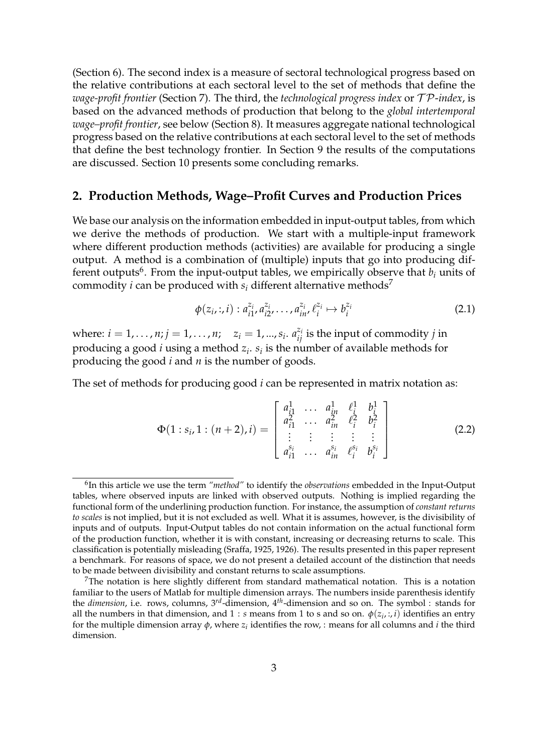(Section 6). The second index is a measure of sectoral technological progress based on the relative contributions at each sectoral level to the set of methods that define the *wage-profit frontier* (Section 7). The third, the *technological progress index* or T P-*index*, is based on the advanced methods of production that belong to the *global intertemporal wage–profit frontier*, see below (Section 8). It measures aggregate national technological progress based on the relative contributions at each sectoral level to the set of methods that define the best technology frontier. In Section 9 the results of the computations are discussed. Section 10 presents some concluding remarks.

#### **2. Production Methods, Wage–Profit Curves and Production Prices**

We base our analysis on the information embedded in input-output tables, from which we derive the methods of production. We start with a multiple-input framework where different production methods (activities) are available for producing a single output. A method is a combination of (multiple) inputs that go into producing different outputs<sup>6</sup>. From the input-output tables, we empirically observe that  $b_i$  units of commodity *i* can be produced with  $s_i$  different alternative methods<sup>7</sup>

$$
\phi(z_i, :, i) : a_{i1}^{z_i}, a_{i2}^{z_i}, \dots, a_{in}^{z_i}, \ell_i^{z_i} \mapsto b_i^{z_i}
$$
\n(2.1)

where:  $i = 1, \ldots, n; j = 1, \ldots, n; \quad z_i = 1, \ldots, s_i$ .  $a_{ij}^{z_i}$  is the input of commodity *j* in producing a good *i* using a method *z<sup>i</sup>* . *s<sup>i</sup>* is the number of available methods for producing the good *i* and *n* is the number of goods.

The set of methods for producing good *i* can be represented in matrix notation as:

$$
\Phi(1:s_{i},1:(n+2),i) = \begin{bmatrix} a_{i1}^1 & \cdots & a_{in}^1 & \ell_i^1 & b_i^1 \\ a_{i1}^2 & \cdots & a_{in}^2 & \ell_i^2 & b_i^2 \\ \vdots & \vdots & \vdots & \vdots & \vdots \\ a_{i1}^{s_i} & \cdots & a_{in}^{s_i} & \ell_i^{s_i} & b_i^{s_i} \end{bmatrix}
$$
(2.2)

<sup>6</sup> In this article we use the term *"method"* to identify the *observations* embedded in the Input-Output tables, where observed inputs are linked with observed outputs. Nothing is implied regarding the functional form of the underlining production function. For instance, the assumption of *constant returns to scales* is not implied, but it is not excluded as well. What it is assumes, however, is the divisibility of inputs and of outputs. Input-Output tables do not contain information on the actual functional form of the production function, whether it is with constant, increasing or decreasing returns to scale. This classification is potentially misleading (Sraffa, 1925, 1926). The results presented in this paper represent a benchmark. For reasons of space, we do not present a detailed account of the distinction that needs to be made between divisibility and constant returns to scale assumptions.

 $7$ The notation is here slightly different from standard mathematical notation. This is a notation familiar to the users of Matlab for multiple dimension arrays. The numbers inside parenthesis identify the *dimension*, i.e. rows, columns, 3*rd*-dimension, 4*th*-dimension and so on. The symbol : stands for all the numbers in that dimension, and  $1 : s$  means from 1 to s and so on.  $\phi(z_i, :, i)$  identifies an entry for the multiple dimension array  $\phi$ , where  $z_i$  identifies the row, : means for all columns and *i* the third dimension.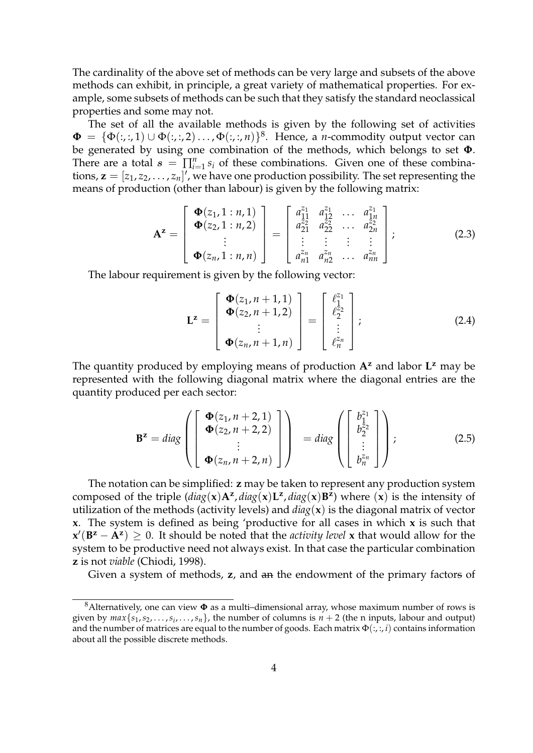The cardinality of the above set of methods can be very large and subsets of the above methods can exhibit, in principle, a great variety of mathematical properties. For example, some subsets of methods can be such that they satisfy the standard neoclassical properties and some may not.

The set of all the available methods is given by the following set of activities  $\pmb{\Phi} \ = \ \{\Phi(:, :, 1) \cup \Phi(:, :, 2) \ldots, \Phi(:, :, n)\}^8.$  Hence, a *n*-commodity output vector can be generated by using one combination of the methods, which belongs to set **Φ**. There are a total  $s = \prod_{i=1}^{n} s_i$  of these combinations. Given one of these combinations,  $\mathbf{z} = [z_1, z_2, \dots, z_n]'$ , we have one production possibility. The set representing the means of production (other than labour) is given by the following matrix:

$$
\mathbf{A}^{\mathbf{z}} = \begin{bmatrix} \mathbf{\Phi}(z_1, 1:n, 1) \\ \mathbf{\Phi}(z_2, 1:n, 2) \\ \vdots \\ \mathbf{\Phi}(z_n, 1:n, n) \end{bmatrix} = \begin{bmatrix} a_{11}^{z_1} & a_{12}^{z_1} & \dots & a_{1n}^{z_1} \\ a_{21}^{z_2} & a_{22}^{z_2} & \dots & a_{2n}^{z_2} \\ \vdots & \vdots & \vdots & \vdots \\ a_{n1}^{z_n} & a_{n2}^{z_n} & \dots & a_{nn}^{z_n} \end{bmatrix};
$$
(2.3)

The labour requirement is given by the following vector:

$$
\mathbf{L}^{\mathbf{z}} = \begin{bmatrix} \boldsymbol{\Phi}(z_1, n+1, 1) \\ \boldsymbol{\Phi}(z_2, n+1, 2) \\ \vdots \\ \boldsymbol{\Phi}(z_n, n+1, n) \end{bmatrix} = \begin{bmatrix} \ell_1^{z_1} \\ \ell_2^{z_2} \\ \vdots \\ \ell_n^{z_n} \end{bmatrix};
$$
(2.4)

The quantity produced by employing means of production **A<sup>z</sup>** and labor **L <sup>z</sup>** may be represented with the following diagonal matrix where the diagonal entries are the quantity produced per each sector:

$$
\mathbf{B}^{\mathbf{z}} = diag\left(\begin{bmatrix} \boldsymbol{\Phi}(z_1, n+2, 1) \\ \boldsymbol{\Phi}(z_2, n+2, 2) \\ \vdots \\ \boldsymbol{\Phi}(z_n, n+2, n) \end{bmatrix}\right) = diag\left(\begin{bmatrix} b_1^{z_1} \\ b_2^{z_2} \\ \vdots \\ b_n^{z_n} \end{bmatrix}\right);
$$
(2.5)

The notation can be simplified: **z** may be taken to represent any production system composed of the triple  $(\text{diag}(x)A^z, \text{diag}(x)L^z, \text{diag}(x)B^z)$  where  $(x)$  is the intensity of utilization of the methods (activity levels) and *diag*(**x**) is the diagonal matrix of vector **x**. The system is defined as being 'productive for all cases in which **x** is such that  $\mathbf{x}'(\mathbf{B}^{\mathbf{z}} - \mathbf{A}^{\mathbf{z}}) \geq 0$ . It should be noted that the *activity level* x that would allow for the system to be productive need not always exist. In that case the particular combination **z** is not *viable* (Chiodi, 1998).

Given a system of methods, **z**, and an the endowment of the primary factors of

<sup>8</sup>Alternatively, one can view **Φ** as a multi–dimensional array, whose maximum number of rows is given by  $max\{s_1, s_2, \ldots, s_i, \ldots, s_n\}$ , the number of columns is  $n + 2$  (the n inputs, labour and output) and the number of matrices are equal to the number of goods. Each matrix Φ(:, :, *i*) contains information about all the possible discrete methods.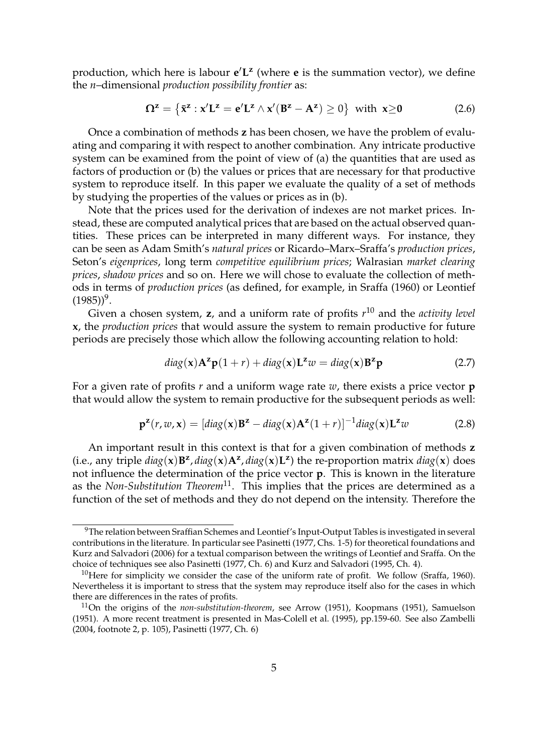production, which here is labour  $e^{\prime}L^{\mathbf{z}}$  (where **e** is the summation vector), we define the *n*–dimensional *production possibility frontier* as:

$$
\Omega^{\mathbf{z}} = \left\{ \bar{\mathbf{x}}^{\mathbf{z}} : \mathbf{x}' \mathbf{L}^{\mathbf{z}} = \mathbf{e}' \mathbf{L}^{\mathbf{z}} \wedge \mathbf{x}' (\mathbf{B}^{\mathbf{z}} - \mathbf{A}^{\mathbf{z}}) \ge 0 \right\} \text{ with } \mathbf{x} \ge 0 \tag{2.6}
$$

Once a combination of methods **z** has been chosen, we have the problem of evaluating and comparing it with respect to another combination. Any intricate productive system can be examined from the point of view of (a) the quantities that are used as factors of production or (b) the values or prices that are necessary for that productive system to reproduce itself. In this paper we evaluate the quality of a set of methods by studying the properties of the values or prices as in (b).

Note that the prices used for the derivation of indexes are not market prices. Instead, these are computed analytical prices that are based on the actual observed quantities. These prices can be interpreted in many different ways. For instance, they can be seen as Adam Smith's *natural prices* or Ricardo–Marx–Sraffa's *production prices*, Seton's *eigenprices*, long term *competitive equilibrium prices*; Walrasian *market clearing prices*, *shadow prices* and so on. Here we will chose to evaluate the collection of methods in terms of *production prices* (as defined, for example, in Sraffa (1960) or Leontief  $(1985))^9$ .

Given a chosen system, **z**, and a uniform rate of profits *r* <sup>10</sup> and the *activity level* **x**, the *production prices* that would assure the system to remain productive for future periods are precisely those which allow the following accounting relation to hold:

$$
diag(\mathbf{x})\mathbf{A}^{\mathbf{z}}\mathbf{p}(1+r) + diag(\mathbf{x})\mathbf{L}^{\mathbf{z}}w = diag(\mathbf{x})\mathbf{B}^{\mathbf{z}}\mathbf{p}
$$
 (2.7)

For a given rate of profits *r* and a uniform wage rate *w*, there exists a price vector **p** that would allow the system to remain productive for the subsequent periods as well:

$$
\mathbf{p}^{\mathbf{z}}(r, w, \mathbf{x}) = [diag(\mathbf{x})\mathbf{B}^{\mathbf{z}} - diag(\mathbf{x})\mathbf{A}^{\mathbf{z}}(1+r)]^{-1} diag(\mathbf{x})\mathbf{L}^{\mathbf{z}}w \tag{2.8}
$$

An important result in this context is that for a given combination of methods **z** (i.e., any triple  $diag(\mathbf{x})\mathbf{B}^{\mathbf{z}}, diag(\mathbf{x})\mathbf{A}^{\mathbf{z}}, diag(\mathbf{x})\mathbf{L}^{\mathbf{z}})$  the re-proportion matrix  $diag(\mathbf{x})$  does not influence the determination of the price vector **p**. This is known in the literature as the *Non-Substitution Theorem*11. This implies that the prices are determined as a function of the set of methods and they do not depend on the intensity. Therefore the

<sup>&</sup>lt;sup>9</sup>The relation between Sraffian Schemes and Leontief's Input-Output Tables is investigated in several contributions in the literature. In particular see Pasinetti (1977, Chs. 1-5) for theoretical foundations and Kurz and Salvadori (2006) for a textual comparison between the writings of Leontief and Sraffa. On the choice of techniques see also Pasinetti (1977, Ch. 6) and Kurz and Salvadori (1995, Ch. 4).

<sup>&</sup>lt;sup>10</sup>Here for simplicity we consider the case of the uniform rate of profit. We follow (Sraffa, 1960). Nevertheless it is important to stress that the system may reproduce itself also for the cases in which there are differences in the rates of profits.

<sup>11</sup>On the origins of the *non-substitution-theorem*, see Arrow (1951), Koopmans (1951), Samuelson (1951). A more recent treatment is presented in Mas-Colell et al. (1995), pp.159-60. See also Zambelli (2004, footnote 2, p. 105), Pasinetti (1977, Ch. 6)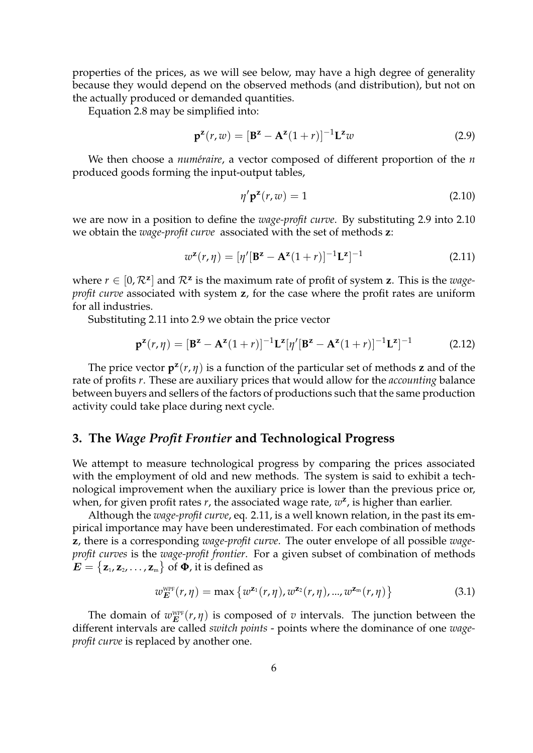properties of the prices, as we will see below, may have a high degree of generality because they would depend on the observed methods (and distribution), but not on the actually produced or demanded quantities.

Equation 2.8 may be simplified into:

$$
\mathbf{p}^{\mathbf{z}}(r,w) = [\mathbf{B}^{\mathbf{z}} - \mathbf{A}^{\mathbf{z}}(1+r)]^{-1} \mathbf{L}^{\mathbf{z}} w \tag{2.9}
$$

We then choose a *numéraire*, a vector composed of different proportion of the *n* produced goods forming the input-output tables,

$$
\eta' \mathbf{p}^{\mathbf{z}}(r, w) = 1 \tag{2.10}
$$

we are now in a position to define the *wage-profit curve*. By substituting 2.9 into 2.10 we obtain the *wage-profit curve* associated with the set of methods **z**:

$$
w^{\mathbf{z}}(r,\eta) = [\eta'[\mathbf{B}^{\mathbf{z}} - \mathbf{A}^{\mathbf{z}}(1+r)]^{-1}\mathbf{L}^{\mathbf{z}}]^{-1}
$$
(2.11)

where  $r \in [0, \mathcal{R}^z]$  and  $\mathcal{R}^z$  is the maximum rate of profit of system **z**. This is the *wageprofit curve* associated with system **z**, for the case where the profit rates are uniform for all industries.

Substituting 2.11 into 2.9 we obtain the price vector

$$
\mathbf{p}^{\mathbf{z}}(r,\eta) = [\mathbf{B}^{\mathbf{z}} - \mathbf{A}^{\mathbf{z}}(1+r)]^{-1} \mathbf{L}^{\mathbf{z}}[\eta'[\mathbf{B}^{\mathbf{z}} - \mathbf{A}^{\mathbf{z}}(1+r)]^{-1} \mathbf{L}^{\mathbf{z}}]^{-1}
$$
(2.12)

The price vector  $\mathbf{p}^{\mathbf{z}}(r, \eta)$  is a function of the particular set of methods **z** and of the rate of profits *r*. These are auxiliary prices that would allow for the *accounting* balance between buyers and sellers of the factors of productions such that the same production activity could take place during next cycle.

#### **3. The** *Wage Profit Frontier* **and Technological Progress**

We attempt to measure technological progress by comparing the prices associated with the employment of old and new methods. The system is said to exhibit a technological improvement when the auxiliary price is lower than the previous price or, when, for given profit rates *r*, the associated wage rate,  $w^2$ , is higher than earlier.

Although the *wage-profit curve*, eq. 2.11, is a well known relation, in the past its empirical importance may have been underestimated. For each combination of methods **z**, there is a corresponding *wage-profit curve*. The outer envelope of all possible *wageprofit curves* is the *wage-profit frontier*. For a given subset of combination of methods  $\boldsymbol{E} = \big\{ \mathbf{z}_{\text{\tiny{1}}} , \mathbf{z}_{\text{\tiny{2}}} , \ldots , \mathbf{z}_{\text{\tiny{m}}} \big\}$  of  $\boldsymbol{\Phi}$ , it is defined as

$$
w_E^{\text{WPF}}(r,\eta) = \max \{ w^{\mathbf{z}_1}(r,\eta), w^{\mathbf{z}_2}(r,\eta), ..., w^{\mathbf{z}_m}(r,\eta) \}
$$
(3.1)

The domain of  $w_E^{\text{WPF}}(r, \eta)$  is composed of *v* intervals. The junction between the different intervals are called *switch points* - points where the dominance of one *wageprofit curve* is replaced by another one.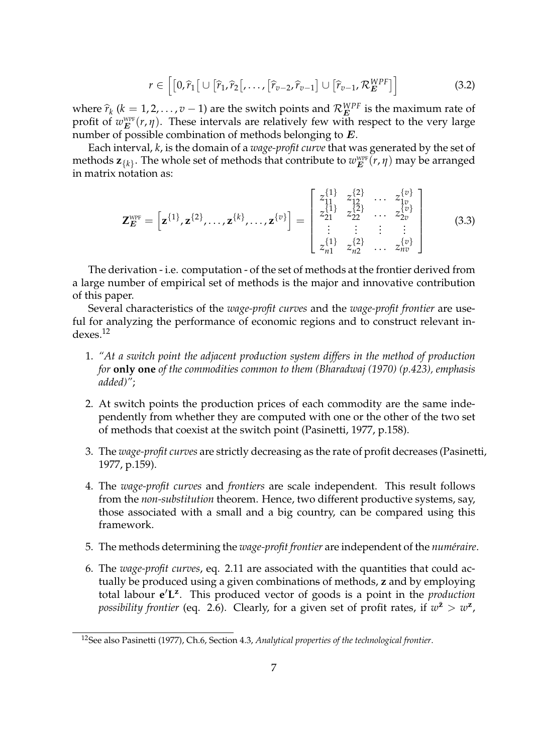$$
r \in \left[ [0,\widehat{r}_1 \big[ \cup [\widehat{r}_1,\widehat{r}_2 \big[ \ldots, [\widehat{r}_{v-2},\widehat{r}_{v-1}] \cup [\widehat{r}_{v-1},\mathcal{R}_E^{WPF}] \right] \right]
$$
(3.2)

where  $\hat{r}_k$  ( $k = 1, 2, ..., v - 1$ ) are the switch points and  $\mathcal{R}_E^{WPF}$  is the maximum rate of row  $F_k$  ( $k = 1, 2, ..., v - 1$ ) are the switch points and  $\mathcal{R}_E^{WPF}$  is the maximum rate of profit of  $w_{E}^{\text{WPF}}(r, \eta)$ . These intervals are relatively few with respect to the very large number of possible combination of methods belonging to  $E$ .

Each interval, *k*, is the domain of a *wage-profit curve* that was generated by the set of methods  $\mathbf{z}_{\{k\}}.$  The whole set of methods that contribute to  $w_{\boldsymbol{E}}^{\text{\tiny WPF}}(r,\eta)$  may be arranged in matrix notation as:

$$
\mathbf{Z}_{\mathbf{E}}^{\text{WPF}} = \left[ \mathbf{z}^{\{1\}}, \mathbf{z}^{\{2\}}, \ldots, \mathbf{z}^{\{k\}}, \ldots, \mathbf{z}^{\{v\}} \right] = \begin{bmatrix} z_{11}^{\{1\}} & z_{12}^{\{2\}} & \ldots & z_{1v}^{\{v\}} \\ z_{11}^{\{1\}} & z_{12}^{\{2\}} & \ldots & z_{2v}^{\{v\}} \\ \vdots & \vdots & \vdots & \vdots \\ z_{n1}^{\{1\}} & z_{n2}^{\{2\}} & \ldots & z_{nv}^{\{v\}} \end{bmatrix}
$$
(3.3)

The derivation - i.e. computation - of the set of methods at the frontier derived from a large number of empirical set of methods is the major and innovative contribution of this paper.

Several characteristics of the *wage-profit curves* and the *wage-profit frontier* are useful for analyzing the performance of economic regions and to construct relevant indexes.<sup>12</sup>

- 1. *"At a switch point the adjacent production system differs in the method of production for* **only one** *of the commodities common to them (Bharadwaj (1970) (p.423), emphasis added)"*;
- 2. At switch points the production prices of each commodity are the same independently from whether they are computed with one or the other of the two set of methods that coexist at the switch point (Pasinetti, 1977, p.158).
- 3. The *wage-profit curves* are strictly decreasing as the rate of profit decreases (Pasinetti, 1977, p.159).
- 4. The *wage-profit curves* and *frontiers* are scale independent. This result follows from the *non-substitution* theorem. Hence, two different productive systems, say, those associated with a small and a big country, can be compared using this framework.
- 5. The methods determining the *wage-profit frontier* are independent of the *num´eraire*.
- 6. The *wage-profit curves*, eq. 2.11 are associated with the quantities that could actually be produced using a given combinations of methods, **z** and by employing total labour  $e^{\prime}L^{z}$ . This produced vector of goods is a point in the *production possibility frontier* (eq. 2.6). Clearly, for a given set of profit rates, if  $w^{\bar{z}} > w^{\bar{z}}$ ,

<sup>12</sup>See also Pasinetti (1977), Ch.6, Section 4.3, *Analytical properties of the technological frontier*.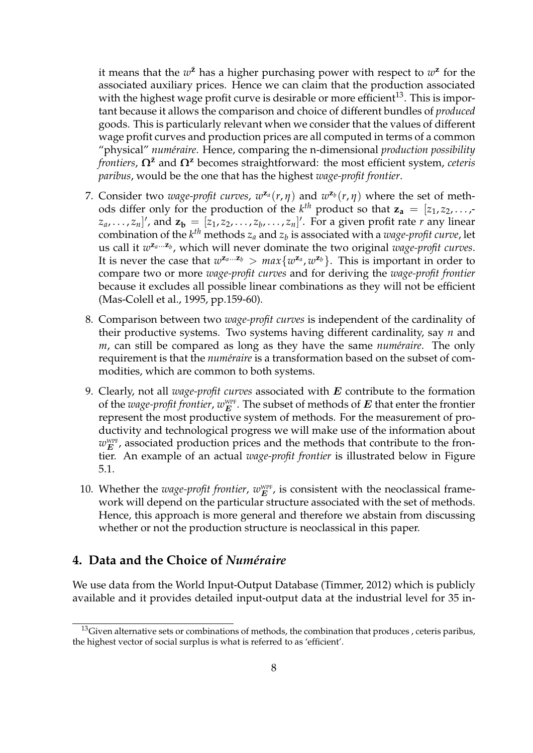it means that the  $w^{\bar{z}}$  has a higher purchasing power with respect to  $w^{\bar{z}}$  for the associated auxiliary prices. Hence we can claim that the production associated with the highest wage profit curve is desirable or more efficient<sup>13</sup>. This is important because it allows the comparison and choice of different bundles of *produced* goods. This is particularly relevant when we consider that the values of different wage profit curves and production prices are all computed in terms of a common "physical" *num´eraire*. Hence, comparing the n-dimensional *production possibility frontiers*, **Ωz**¯ and **Ω<sup>z</sup>** becomes straightforward: the most efficient system, *ceteris paribus*, would be the one that has the highest *wage-profit frontier*.

- 7. Consider two *wage-profit curves,*  $w^{z_a}(r, \eta)$  and  $w^{z_b}(r, \eta)$  where the set of methods differ only for the production of the  $k^{th}$  product so that  $z_a = [z_1, z_2, \ldots, z_n]$  $[z_a, \ldots, z_n]'$ , and  $\mathbf{z_b} = [z_1, z_2, \ldots, z_b, \ldots, z_n]'$ . For a given profit rate *r* any linear combination of the  $k^{th}$  methods  $z_a$  and  $z_b$  is associated with a *wage-profit curve*, let us call it  $w^{z_a...z_b}$ , which will never dominate the two original *wage-profit curves*. It is never the case that  $w^{z_a...z_b} > max\{w^{z_a}, w^{z_b}\}$ . This is important in order to compare two or more *wage-profit curves* and for deriving the *wage-profit frontier* because it excludes all possible linear combinations as they will not be efficient (Mas-Colell et al., 1995, pp.159-60).
- 8. Comparison between two *wage-profit curves* is independent of the cardinality of their productive systems. Two systems having different cardinality, say *n* and *m*, can still be compared as long as they have the same *numéraire*. The only requirement is that the *numéraire* is a transformation based on the subset of commodities, which are common to both systems.
- 9. Clearly, not all *wage-profit curves* associated with E contribute to the formation of the  $\emph{wage-profit frontier}, w_{E}^{\tiny\text{WPF}}.$  The subset of methods of  $E$  that enter the frontier represent the most productive system of methods. For the measurement of productivity and technological progress we will make use of the information about  $w_{E}^{\text{\tiny WPF}}$ , associated production prices and the methods that contribute to the frontier. An example of an actual *wage-profit frontier* is illustrated below in Figure 5.1.
- 10. Whether the *wage-profit frontier,*  $w_E^{\text{WPF}}$ *,* is consistent with the neoclassical framework will depend on the particular structure associated with the set of methods. Hence, this approach is more general and therefore we abstain from discussing whether or not the production structure is neoclassical in this paper.

## **4. Data and the Choice of** *Numeraire ´*

We use data from the World Input-Output Database (Timmer, 2012) which is publicly available and it provides detailed input-output data at the industrial level for 35 in-

<sup>&</sup>lt;sup>13</sup>Given alternative sets or combinations of methods, the combination that produces, ceteris paribus, the highest vector of social surplus is what is referred to as 'efficient'.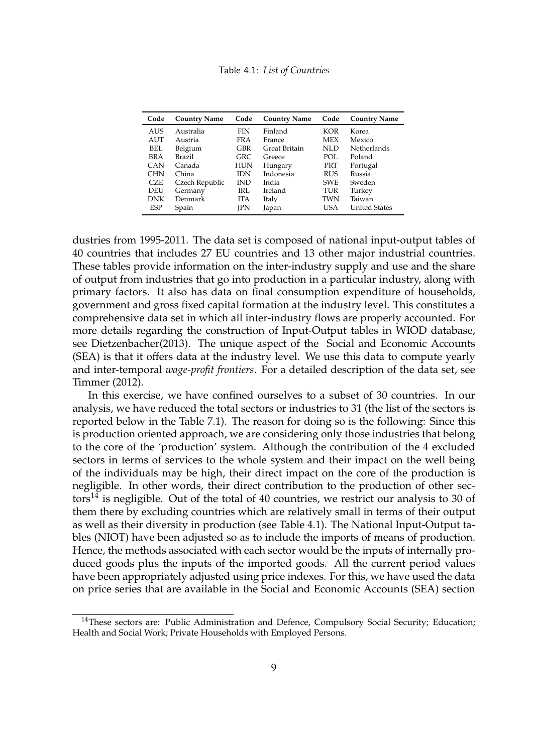Table 4.1: *List of Countries*

| Code       | <b>Country Name</b> | Code       | <b>Country Name</b> | Code       | <b>Country Name</b>  |
|------------|---------------------|------------|---------------------|------------|----------------------|
| AUS        | Australia           | <b>FIN</b> | Finland             | KOR        | Korea                |
| <b>AUT</b> | Austria             | <b>FRA</b> | France              | <b>MEX</b> | Mexico               |
| BEL        | Belgium             | GBR        | Great Britain       | NLD        | Netherlands          |
| BRA        | Brazil              | GRC        | Greece              | POL        | Poland               |
| <b>CAN</b> | Canada              | HUN        | Hungary             | PRT        | Portugal             |
| <b>CHN</b> | China               | <b>IDN</b> | Indonesia           | <b>RUS</b> | Russia               |
| CZE        | Czech Republic      | <b>IND</b> | India               | <b>SWE</b> | Sweden               |
| DEU        | Germany             | IRL        | Ireland             | TUR        | Turkey               |
| <b>DNK</b> | Denmark             | <b>ITA</b> | Italy               | TWN        | Taiwan               |
| <b>ESP</b> | Spain               | IPN        | Japan               | USA        | <b>United States</b> |

dustries from 1995-2011. The data set is composed of national input-output tables of 40 countries that includes 27 EU countries and 13 other major industrial countries. These tables provide information on the inter-industry supply and use and the share of output from industries that go into production in a particular industry, along with primary factors. It also has data on final consumption expenditure of households, government and gross fixed capital formation at the industry level. This constitutes a comprehensive data set in which all inter-industry flows are properly accounted. For more details regarding the construction of Input-Output tables in WIOD database, see Dietzenbacher(2013). The unique aspect of the Social and Economic Accounts (SEA) is that it offers data at the industry level. We use this data to compute yearly and inter-temporal *wage-profit frontiers*. For a detailed description of the data set, see Timmer (2012).

In this exercise, we have confined ourselves to a subset of 30 countries. In our analysis, we have reduced the total sectors or industries to 31 (the list of the sectors is reported below in the Table 7.1). The reason for doing so is the following: Since this is production oriented approach, we are considering only those industries that belong to the core of the 'production' system. Although the contribution of the 4 excluded sectors in terms of services to the whole system and their impact on the well being of the individuals may be high, their direct impact on the core of the production is negligible. In other words, their direct contribution to the production of other sectors<sup>14</sup> is negligible. Out of the total of 40 countries, we restrict our analysis to 30 of them there by excluding countries which are relatively small in terms of their output as well as their diversity in production (see Table 4.1). The National Input-Output tables (NIOT) have been adjusted so as to include the imports of means of production. Hence, the methods associated with each sector would be the inputs of internally produced goods plus the inputs of the imported goods. All the current period values have been appropriately adjusted using price indexes. For this, we have used the data on price series that are available in the Social and Economic Accounts (SEA) section

<sup>&</sup>lt;sup>14</sup>These sectors are: Public Administration and Defence, Compulsory Social Security; Education; Health and Social Work; Private Households with Employed Persons.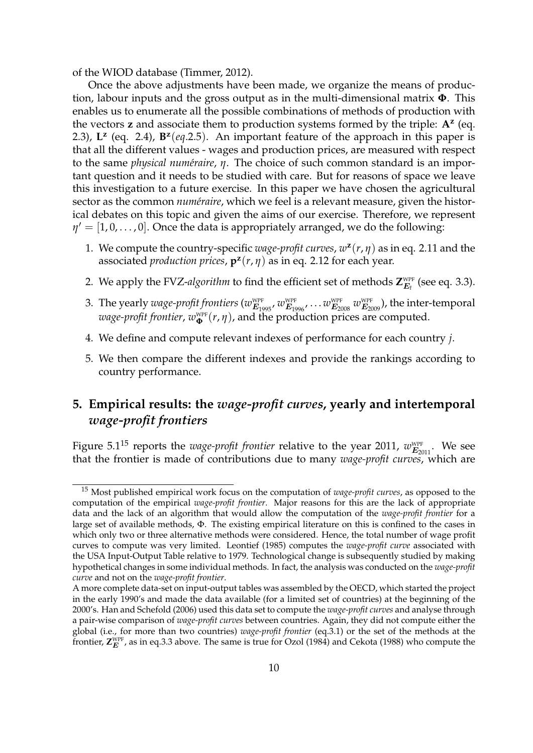of the WIOD database (Timmer, 2012).

Once the above adjustments have been made, we organize the means of production, labour inputs and the gross output as in the multi-dimensional matrix **Φ**. This enables us to enumerate all the possible combinations of methods of production with the vectors **z** and associate them to production systems formed by the triple: **A<sup>z</sup>** (eq. 2.3),  $L^z$  (eq. 2.4),  $B^z$ (eq.2.5). An important feature of the approach in this paper is that all the different values - wages and production prices, are measured with respect to the same *physical numéraire*, *η*. The choice of such common standard is an important question and it needs to be studied with care. But for reasons of space we leave this investigation to a future exercise. In this paper we have chosen the agricultural sector as the common *numéraire*, which we feel is a relevant measure, given the historical debates on this topic and given the aims of our exercise. Therefore, we represent  $\eta' = [1, 0, \ldots, 0]$ . Once the data is appropriately arranged, we do the following:

- 1. We compute the country-specific *wage-profit curves*, *w* **z** (*r*, *η*) as in eq. 2.11 and the associated *production prices*, **p z** (*r*, *η*) as in eq. 2.12 for each year.
- 2. We apply the FVZ-*algorithm* to find the efficient set of methods  $\mathsf{Z}_{E_{t}}^{\text{\tiny WPF}}$  (see eq. 3.3).
- 3. The yearly  $w$  *age-profit frontiers*  $(w_{E_{1995}}^{\text{\tiny WPF}}, w_{E_{1996}}^{\text{\tiny WPF}} \ldots w_{E_{2008}}^{\text{\tiny WPF}}$  $w_{E_{2009}}^{\text{\tiny WPF}})$ *, the inter-temporal*  $\emph{wage-profit frontier}, \emph{w}_{\mathbf{\Phi}}^{\text{\tiny{WPF}}}(r, \eta)$ , and the production prices are computed.
- 4. We define and compute relevant indexes of performance for each country *j*.
- 5. We then compare the different indexes and provide the rankings according to country performance.

# **5. Empirical results: the** *wage-profit curves***, yearly and intertemporal** *wage-profit frontiers*

Figure 5.1<sup>15</sup> reports the *wage-profit frontier* relative to the year 2011,  $w_{E_{2011}}^{\text{WPF}}$ . We see that the frontier is made of contributions due to many *wage-profit curves*, which are

<sup>15</sup> Most published empirical work focus on the computation of *wage-profit curves*, as opposed to the computation of the empirical *wage-profit frontier*. Major reasons for this are the lack of appropriate data and the lack of an algorithm that would allow the computation of the *wage-profit frontier* for a large set of available methods, Φ. The existing empirical literature on this is confined to the cases in which only two or three alternative methods were considered. Hence, the total number of wage profit curves to compute was very limited. Leontief (1985) computes the *wage-profit curve* associated with the USA Input-Output Table relative to 1979. Technological change is subsequently studied by making hypothetical changes in some individual methods. In fact, the analysis was conducted on the *wage-profit curve* and not on the *wage-profit frontier*.

A more complete data-set on input-output tables was assembled by the OECD, which started the project in the early 1990's and made the data available (for a limited set of countries) at the beginning of the 2000's. Han and Schefold (2006) used this data set to compute the *wage-profit curves* and analyse through a pair-wise comparison of *wage-profit curves* between countries. Again, they did not compute either the global (i.e., for more than two countries) *wage-profit frontier* (eq.3.1) or the set of the methods at the frontier,  $\mathsf{Z}_{E}^{\text{WPF}}$ , as in eq.3.3 above. The same is true for Ozol (1984) and Cekota (1988) who compute the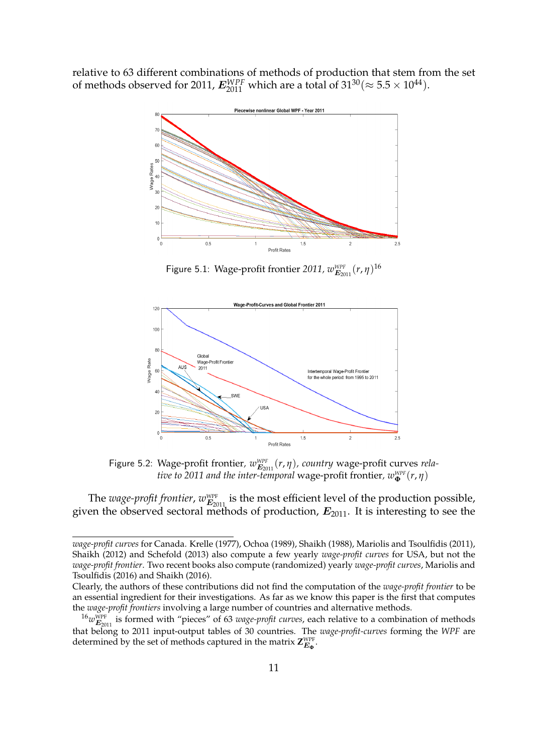relative to 63 different combinations of methods of production that stem from the set of methods observed for 2011,  $E_{2011}^{WPF}$  which are a total of  $31^{30} (\approx 5.5 \times 10^{44})$ .



Figure 5.1: Wage-profit frontier 2011,  $w_{\boldsymbol{E}_{2011}}^{\text{\tiny WPF}}(r,\eta)^{16}$ 



Figure 5.2: Wage-profit frontier,  $w_{\mathbf{E}_{2011}}^{\text{WPF}}(r,\eta)$ , country wage-profit curves *relative to 2011 and the inter-temporal* wage-profit frontier*, wWPF* **<sup>Φ</sup>** (*r*, *η*)

The *wage-profit frontier*,  $w_{E_{2011}}^{\text{WPF}}$  is the most efficient level of the production possible, given the observed sectoral methods of production,  $E_{2011}$ . It is interesting to see the

*wage-profit curves* for Canada. Krelle (1977), Ochoa (1989), Shaikh (1988), Mariolis and Tsoulfidis (2011), Shaikh (2012) and Schefold (2013) also compute a few yearly *wage-profit curves* for USA, but not the *wage-profit frontier*. Two recent books also compute (randomized) yearly *wage-profit curves*, Mariolis and Tsoulfidis (2016) and Shaikh (2016).

Clearly, the authors of these contributions did not find the computation of the *wage-profit frontier* to be an essential ingredient for their investigations. As far as we know this paper is the first that computes the *wage-profit frontiers* involving a large number of countries and alternative methods.

 $^{16}w_{E_{2011}}^{\text{WPF}}$  is formed with "pieces" of 63 *wage-profit curves*, each relative to a combination of methods that belong to 2011 input-output tables of 30 countries. The *wage-profit-curves* forming the *WPF* are determined by the set of methods captured in the matrix  $\mathsf{Z}_{\boldsymbol{E_{\Phi}}}^{\text{WPF}}$ .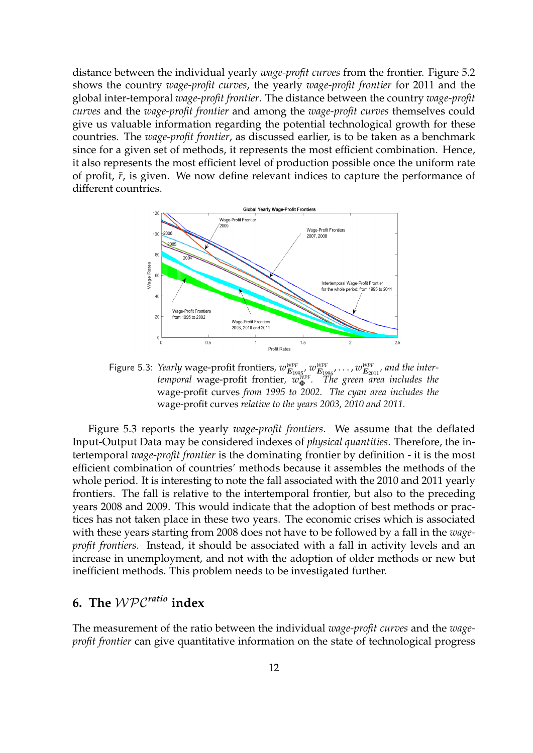distance between the individual yearly *wage-profit curves* from the frontier. Figure 5.2 shows the country *wage-profit curves*, the yearly *wage-profit frontier* for 2011 and the global inter-temporal *wage-profit frontier*. The distance between the country *wage-profit curves* and the *wage-profit frontier* and among the *wage-profit curves* themselves could give us valuable information regarding the potential technological growth for these countries. The *wage-profit frontier*, as discussed earlier, is to be taken as a benchmark since for a given set of methods, it represents the most efficient combination. Hence, it also represents the most efficient level of production possible once the uniform rate of profit,  $\bar{r}$ , is given. We now define relevant indices to capture the performance of different countries.



Figure 5.3: *Yearly* wage-profit frontiers,  $w_{E_{1995}}^{WPF}$ ,  $w_{E_{1996}}^{WPF}$ , ...,  $w_{E_{2011}}^{WPF}$ , and the inter*temporal* wage-profit frontier*, wWPF* **<sup>Φ</sup>** *. The green area includes the* wage-profit curves *from 1995 to 2002. The cyan area includes the* wage-profit curves *relative to the years 2003, 2010 and 2011.*

Figure 5.3 reports the yearly *wage-profit frontiers*. We assume that the deflated Input-Output Data may be considered indexes of *physical quantities*. Therefore, the intertemporal *wage-profit frontier* is the dominating frontier by definition - it is the most efficient combination of countries' methods because it assembles the methods of the whole period. It is interesting to note the fall associated with the 2010 and 2011 yearly frontiers. The fall is relative to the intertemporal frontier, but also to the preceding years 2008 and 2009. This would indicate that the adoption of best methods or practices has not taken place in these two years. The economic crises which is associated with these years starting from 2008 does not have to be followed by a fall in the *wageprofit frontiers*. Instead, it should be associated with a fall in activity levels and an increase in unemployment, and not with the adoption of older methods or new but inefficient methods. This problem needs to be investigated further.

## **6. The** WPC*ratio* **index**

The measurement of the ratio between the individual *wage-profit curves* and the *wageprofit frontier* can give quantitative information on the state of technological progress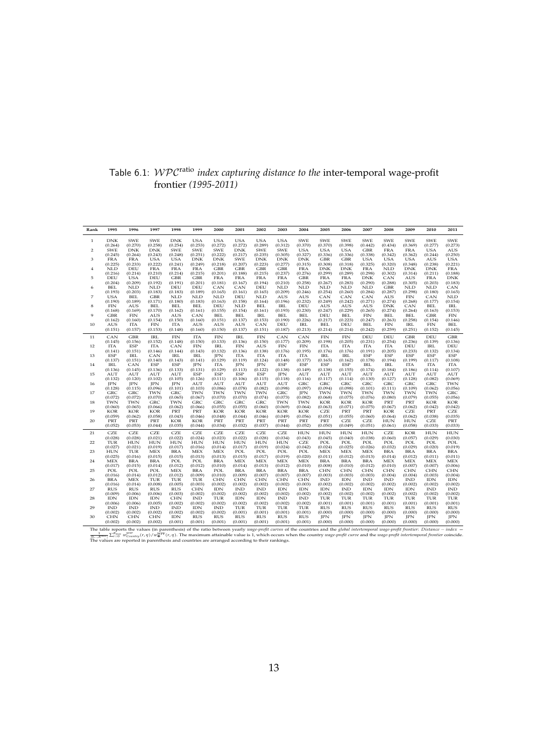|                      |  |  | Table 6.1: $WPC^{\text{ratio}}$ index capturing distance to the inter-temporal wage-profit |  |
|----------------------|--|--|--------------------------------------------------------------------------------------------|--|
| frontier (1995-2011) |  |  |                                                                                            |  |

| Rank           | 1995       | 1996       | 1997       | 1998       | 1999       | 2000       | 2001       | 2002       | 2003                        | 2004       | 2005       | 2006                        | 2007       | 2008       | 2009       | 2010       | 2011       |
|----------------|------------|------------|------------|------------|------------|------------|------------|------------|-----------------------------|------------|------------|-----------------------------|------------|------------|------------|------------|------------|
| 1              | <b>DNK</b> | <b>SWE</b> | <b>SWE</b> | <b>DNK</b> | <b>USA</b> | <b>USA</b> | <b>USA</b> | <b>USA</b> | <b>USA</b>                  | <b>SWE</b> | <b>SWE</b> | <b>SWE</b>                  | <b>SWE</b> | <b>SWE</b> | <b>SWE</b> | <b>SWE</b> | <b>SWE</b> |
|                | (0.264)    | (0.270)    | (0.258)    | (0.254)    | (0.253)    | (0.272)    | (0.272)    | (0.289)    | (0.312)                     | (0.370)    | (0.370)    | (0.398)                     | (0.442)    | (0.434)    | (0.369)    | (0.277)    | (0.273)    |
| $\overline{2}$ | <b>SWE</b> | <b>DNK</b> | <b>DNK</b> | <b>SWE</b> | <b>SWE</b> | <b>SWE</b> | <b>DNK</b> | <b>SWE</b> | <b>SWE</b>                  | <b>USA</b> | <b>USA</b> | <b>USA</b>                  | <b>GBR</b> | <b>FRA</b> | <b>FRA</b> | <b>USA</b> | AUS        |
|                | (0.245)    | (0.264)    | (0.243)    | (0.248)    | (0.251)    | (0.222)    | (0.217)    | (0.235)    | (0.305)                     | (0.327)    | (0.336)    | (0.336)                     | (0.338)    | (0.342)    | (0.362)    | (0.244)    | (0.250)    |
| 3              | <b>FRA</b> | <b>FRA</b> | <b>USA</b> | <b>USA</b> | DNK        | <b>DNK</b> | <b>SWE</b> | <b>DNK</b> | <b>DNK</b>                  | <b>DNK</b> | <b>GBR</b> | <b>GBR</b>                  | <b>USA</b> | <b>USA</b> | <b>USA</b> | AUS        | <b>USA</b> |
|                | (0.225)    | (0.233)    | (0.222)    | (0.241)    | (0.249)    | (0.218)    | (0.207)    | (0.223)    | (0.277)                     | (0.315)    | (0.308)    | (0.318)                     | (0.325)    | (0.320)    | (0.348)    | (0.238)    | (0.221)    |
| 4              | <b>NLD</b> | DEU        | <b>FRA</b> | <b>FRA</b> | <b>FRA</b> | <b>GBR</b> | <b>GBR</b> | <b>GBR</b> | <b>GBR</b>                  | <b>FRA</b> | <b>DNK</b> | <b>DNK</b>                  | <b>FRA</b> | <b>NLD</b> | <b>DNK</b> | <b>DNK</b> | <b>FRA</b> |
|                | (0.216)    | (0.214)    | (0.210)    | (0.214)    | (0.215)    | (0.201)    | (0.188)    | (0.215)    | (0.237)                     | (0.276)    | (0.299)    | (0.289)                     | (0.298)    | (0.302)    | (0.314)    | (0.211)    | (0.188)    |
| 5              | DEU        | <b>USA</b> | DEU        | <b>GBR</b> | <b>GBR</b> | <b>FRA</b> | <b>FRA</b> | <b>FRA</b> | <b>FRA</b>                  | <b>GBR</b> | <b>FRA</b> | <b>FRA</b>                  | <b>DNK</b> | CAN        | <b>AUS</b> | <b>FRA</b> | <b>DNK</b> |
|                | (0.204)    | (0.209)    | (0.192)    | (0.191)    | (0.201)    | (0.181)    | (0.167)    | (0.194)    | (0.210)                     | (0.258)    | (0.267)    | (0.283)                     | (0.290)    | (0.288)    | (0.305)    | (0.203)    | (0.183)    |
| 6              | <b>BEL</b> | <b>NLD</b> | <b>NLD</b> | DEU        | DEU        | CAN        | CAN        | DEU        | <b>NLD</b>                  | <b>NLD</b> | <b>NLD</b> | <b>NLD</b>                  | <b>NLD</b> | <b>GBR</b> | <b>NLD</b> | <b>NLD</b> | CAN        |
|                | (0.193)    | (0.203)    | (0.183)    | (0.183)    | (0.189)    | (0.165)    | (0.161)    | (0.165)    | (0.209)                     | (0.246)    | (0.254)    | (0.260)                     | (0.284)    | (0.287)    | (0.298)    | (0.180)    | (0.165)    |
| 7              | <b>USA</b> | <b>BEL</b> | <b>GBR</b> | <b>NLD</b> | <b>NLD</b> | <b>NLD</b> | DEU        | <b>NLD</b> | <b>AUS</b>                  | <b>AUS</b> | CAN        | CAN                         | CAN        | AUS        | <b>FIN</b> | CAN        | <b>NLD</b> |
|                | (0.190)    | (0.189)    | (0.171)    | (0.180)    | (0.183)    | (0.163)    | (0.158)    | (0.164)    | (0.196)                     | (0.232)    | (0.249)    | (0.242)                     | (0.271)    | (0.274)    | (0.268)    | (0.177)    | (0.154)    |
| 8              | <b>FIN</b> | AUS        | BEL        | <b>BEL</b> | <b>BEL</b> | DEU        | <b>NLD</b> | <b>BEL</b> | <b>IRL</b>                  | DEU        | AUS        | AUS                         | AUS        | <b>DNK</b> | CAN        | <b>BEL</b> | <b>IRL</b> |
|                | (0.168)    | (0.169)    | (0.170)    | (0.162)    | (0.161)    | (0.155)    | (0.154)    | (0.161)    | (0.193)                     | (0.230)    | (0.247)    | (0.229)                     | (0.265)    | (0.274)    | (0.264)    | (0.163)    | (0.153)    |
| 9              | <b>GBR</b> | <b>FIN</b> | AUS        | AUS        | CAN        | <b>BEL</b> | <b>BEL</b> | <b>IRL</b> | BEL                         | <b>BEL</b> | DEU        | BEL                         | <b>FIN</b> | <b>BEL</b> | BEL        | <b>GBR</b> | <b>FIN</b> |
|                | (0.162)    | (0.160)    | (0.154)    | (0.150)    | (0.160)    | (0.151)    | (0.137)    | (0.153)    | (0.190)                     | (0.226)    | (0.217)    | (0.223)                     | (0.247)    | (0.263)    | (0.258)    | (0.154)    | (0.146)    |
| 10             | AUS        | <b>ITA</b> | <b>FIN</b> | <b>ITA</b> | AUS        | AUS        | AUS        | CAN        | DEU                         | <b>IRL</b> | <b>BEL</b> | DEU                         | <b>BEL</b> | <b>FIN</b> | <b>IRL</b> | <b>FIN</b> | <b>BEL</b> |
|                | (0.151)    | (0.157)    | (0.153)    | (0.148)    | (0.160)    | (0.150)    | (0.137)    | (0.151)    | (0.187)                     | (0.213)    | (0.214)    | (0.214)                     | (0.242)    | (0.259)    | (0.251)    | (0.152)    | (0.145)    |
| 11             | CAN        | <b>GBR</b> | <b>IRL</b> | <b>FIN</b> | <b>ITA</b> | <b>FIN</b> | <b>IRL</b> | FIN        | CAN                         | CAN        | FIN        | <b>FIN</b>                  | DEU        | DEU        | <b>GBR</b> | DEU        | <b>GBR</b> |
|                | (0.145)    | (0.156)    | (0.152)    | (0.148)    | (0.150)    | (0.133)    | (0.136)    | (0.150)    | (0.177)                     | (0.209)    | (0.198)    | (0.205)                     | (0.231)    | (0.254)    | (0.236)    | (0.139)    | (0.136)    |
| 12             | <b>ITA</b> | <b>ESP</b> | <b>ITA</b> | CAN        | <b>FIN</b> | <b>IRL</b> | <b>FIN</b> | AUS        | <b>FIN</b>                  | <b>FIN</b> | <b>ITA</b> | <b>ITA</b>                  | <b>ITA</b> | <b>ITA</b> | DEU        | <b>IRL</b> | DEU        |
|                | (0.141)    | (0.151)    | (0.146)    | (0.144)    | (0.143)    | (0.132)    | (0.136)    | (0.138)    | (0.176)                     | (0.195)    | (0.176)    | (0.176)                     | (0.191)    | (0.205)    | (0.233)    | (0.132)    | (0.134)    |
| 13             | <b>ESP</b> | <b>IRL</b> | CAN        | <b>IRL</b> | <b>IRL</b> | <b>IPN</b> | <b>ITA</b> | <b>ITA</b> | <b>ITA</b>                  | <b>ITA</b> | <b>IRL</b> | <b>IRL</b>                  | <b>ESP</b> | <b>ESP</b> | <b>ESP</b> | <b>ESP</b> | <b>ESP</b> |
|                | (0.137)    | (0.151)    | (0.140)    | (0.143)    | (0.141)    | (0.129)    | (0.119)    | (0.124)    | (0.148)                     | (0.177)    | (0.165)    | (0.162)                     | (0.178)    | (0.194)    | (0.199)    | (0.117)    | (0.108)    |
| 14             | <b>IRL</b> | CAN        | <b>ESP</b> | <b>ESP</b> | <b>JPN</b> | <b>ITA</b> | <b>JPN</b> | <b>JPN</b> | <b>ESP</b>                  | <b>ESP</b> | <b>ESP</b> | <b>ESP</b>                  | <b>IRL</b> | <b>IRL</b> | <b>ITA</b> | <b>ITA</b> | <b>ITA</b> |
|                | (0.136)    | (0.145)    | (0.136)    | (0.133)    | (0.131)    | (0.129)    | (0.113)    | (0.122)    | (0.138)                     | (0.149)    | (0.138)    | (0.155)                     | (0.174)    | (0.184)    | (0.186)    | (0.114)    | (0.107)    |
| 15             | AUT        | AUT        | AUT        | AUT        | <b>ESP</b> | <b>ESP</b> | <b>ESP</b> | <b>ESP</b> | <b>JPN</b>                  | AUT        | AUT        | AUT                         | AUT        | AUT        | AUT        | AUT        | AUT        |
|                | (0.132)    | (0.120)    | (0.102)    | (0.105)    | (0.126)    | (0.111)    | (0.106)    | (0.115)    | (0.118)                     | (0.116)    | (0.117)    | (0.114)                     | (0.130)    | (0.127)    | (0.128)    | (0.082)    | (0.069)    |
| 16             | <b>JPN</b> | <b>JPN</b> | <b>JPN</b> | <b>IPN</b> | AUT        | AUT        | AUT        | AUT        | AUT                         | GRC        | GRC        | GRC                         | GRC        | GRC        | GRC        | GRC        | <b>TWN</b> |
|                | (0.128)    | (0.115)    | (0.096)    | (0.101)    | (0.103)    | (0.086)    | (0.078)    | (0.082)    | (0.098)                     | (0.097)    | (0.094)    | (0.098)                     | (0.101)    | (0.111)    | (0.109)    | (0.062)    | (0.056)    |
| 17             | GRC        | GRC        | <b>TWN</b> | GRC        | TWN        | TWN        | TWN        | TWN        | GRC                         | <b>IPN</b> | TWN        | TWN                         | TWN        | TWN        | <b>TWN</b> | <b>TWN</b> | GRC        |
|                | (0.072)    | (0.072)    | (0.070)    | (0.065)    | (0.067)    | (0.070)    | (0.070)    | (0.074)    | (0.073)                     | (0.082)    | (0.068)    | (0.075)                     | (0.076)    | (0.080)    | (0.079)    | (0.055)    | (0.056)    |
| 18             | TWN        | <b>TWN</b> | GRC        | <b>TWN</b> | GRC        | GRC        | GRC        | GRC        | <b>TWN</b>                  | <b>TWN</b> | <b>KOR</b> | <b>KOR</b>                  | <b>KOR</b> | PRT        | PRT        | <b>KOR</b> | <b>KOR</b> |
|                | (0.060)    | (0.065)    | (0.066)    | (0.062)    | (0.066)    | (0.055)    | (0.055)    | (0.060)    | (0.069)                     | (0.064)    | (0.063)    | (0.071)                     | (0.075)    | (0.067)    | (0.062)    | (0.042)    | (0.042)    |
| 19             | <b>KOR</b> | <b>KOR</b> | <b>KOR</b> | PRT        | PRT        | <b>KOR</b> | <b>KOR</b> | <b>KOR</b> | KOR                         | <b>KOR</b> | <b>CZE</b> | PRT                         | PRT        | <b>KOR</b> | <b>CZE</b> | PRT        | CZE        |
|                | (0.059)    | (0.062)    | (0.058)    | (0.043)    | (0.046)    | (0.048)    | (0.044)    | (0.046)    | (0.049)                     | (0.056)    | (0.051)    | (0.055)                     | (0.060)    | (0.064)    | (0.062)    | (0.038)    | (0.035)    |
| 20             | PRT        | PRT        | PRT        | <b>KOR</b> | <b>KOR</b> | PRT        | PRT        | PRT        | PRT                         | PRT        | PRT        | CZE                         | CZE        | <b>HUN</b> | <b>HUN</b> | CZE        | PRT        |
|                | (0.052)    | (0.053)    | (0.044)    | (0.035)    | (0.044)    | (0.034)    | (0.032)    | (0.037)    | (0.044)                     | (0.052)    | (0.050)    | (0.049)                     | (0.051)    | (0.061)    | (0.058)    | (0.033)    | (0.033)    |
| 21             | CZE        | CZE        | <b>CZE</b> | <b>CZE</b> | CZE        | CZE        | CZE        | CZE        | CZE                         | <b>HUN</b> | <b>HUN</b> | <b>HUN</b>                  | <b>HUN</b> | CZE        | <b>KOR</b> | <b>HUN</b> | <b>HUN</b> |
|                | (0.028)    | (0.028)    | (0.021)    | (0.022)    | (0.024)    | (0.023)    | (0.022)    | (0.028)    | (0.034)                     | (0.043)    | (0.045)    | (0.040)                     | (0.038)    | (0.060)    | (0.057)    | (0.029)    | (0.030)    |
| 22             | TUR        | <b>HUN</b> | <b>HUN</b> | <b>HUN</b> | <b>HUN</b> | <b>HUN</b> | <b>HUN</b> | <b>HUN</b> | <b>HUN</b>                  | <b>CZE</b> | POL        | POL                         | POL        | POL        | POL        | POL        | POL        |
|                | (0.027)    | (0.021)    | (0.019)    | (0.017)    | (0.016)    | (0.014)    | (0.017)    | (0.019)    | (0.024)                     | (0.042)    | (0.024)    | (0.025)                     | (0.026)    | (0.032)    | (0.029)    | (0.020)    | (0.019)    |
| 23             | <b>HUN</b> | TUR        | <b>MEX</b> | <b>BRA</b> | <b>MEX</b> | <b>MEX</b> | POL        | POL        | POL                         | POL        | <b>MEX</b> | <b>MEX</b>                  | <b>MEX</b> | <b>BRA</b> | <b>BRA</b> | BRA        | <b>BRA</b> |
|                | (0.025)    | (0.016)    | (0.015)    | (0.015)    | (0.013)    | (0.013)    | (0.015)    | (0.017)    | (0.019)                     | (0.020)    | (0.011)    | (0.012)                     | (0.013)    | (0.014)    | (0.012)    | (0.011)    | (0.011)    |
| 24             | MEX        | <b>BRA</b> | <b>BRA</b> | POL        | POL        | <b>BRA</b> | <b>MEX</b> | MEX        | <b>MEX</b>                  | <b>MEX</b> | <b>BRA</b> | <b>BRA</b>                  | <b>BRA</b> | MEX        | MEX        | <b>MEX</b> | <b>MEX</b> |
|                | (0.017)    | (0.015)    | (0.014)    | (0.012)    | (0.012)    | (0.010)    | (0.014)    | (0.013)    | (0.012)                     | (0.010)    | (0.008)    | (0.010)                     | (0.012)    | (0.010)    | (0.007)    | (0.007)    | (0.006)    |
| 25             | POL        | POL        | POL        | <b>MEX</b> | <b>BRA</b> | POL        | <b>BRA</b> | <b>BRA</b> | <b>BRA</b>                  | <b>BRA</b> | <b>CHN</b> | CHN                         | CHN        | <b>CHN</b> | <b>CHN</b> | <b>CHN</b> | <b>CHN</b> |
|                | (0.016)    | (0.014)    | (0.012)    | (0.012)    | (0.009)    | (0.010)    | (0.009)    | (0.007)    | (0.007)                     | (0.007)    | (0.003)    | (0.003)                     | (0.003)    | (0.004)    | (0.004)    | (0.003)    | (0.004)    |
| 26             | BRA        | <b>MEX</b> | TUR        | TUR        | TUR        | <b>CHN</b> | <b>CHN</b> | CHN        | <b>CHN</b>                  | <b>CHN</b> | <b>IND</b> | IDN                         | <b>IND</b> | <b>IND</b> | IND        | IDN        | IDN        |
|                | (0.016)    | (0.014)    | (0.008)    | (0.005)    | (0.003)    | (0.002)    | (0.002)    | (0.002)    | (0.002)                     | (0.003)    | (0.002)    | (0.002)                     | (0.002)    | (0.002)    | (0.002)    | (0.002)    | (0.002)    |
| 27             | <b>RUS</b> | <b>RUS</b> | <b>RUS</b> | <b>RUS</b> | <b>CHN</b> | <b>IDN</b> | <b>IND</b> | <b>IND</b> | <b>IDN</b>                  | <b>IDN</b> | <b>IDN</b> | $\mathop{\rm IND}\nolimits$ | <b>IDN</b> | <b>IDN</b> | <b>IDN</b> | <b>IND</b> | <b>IND</b> |
|                | (0.009)    | (0.006)    | (0.006)    | (0.003)    | (0.002)    | (0.002)    | (0.002)    | (0.002)    | (0.002)                     | (0.002)    | (0.002)    | (0.002)                     | (0.002)    | (0.002)    | (0.002)    | (0.002)    | (0.002)    |
| 28             | <b>IDN</b> | <b>IDN</b> | <b>IDN</b> | CHN        | <b>IND</b> | TUR        | <b>IDN</b> | <b>IDN</b> | $\mathop{\rm IND}\nolimits$ | <b>IND</b> | TUR        | TUR                         | TUR        | TUR        | TUR        | TUR        | TUR        |
|                | (0.006)    | (0.006)    | (0.005)    | (0.002)    | (0.002)    | (0.002)    | (0.002)    | (0.002)    | (0.002)                     | (0.002)    | (0.001)    | (0.001)                     | (0.001)    | (0.001)    | (0.001)    | (0.001)    | (0.001)    |
| 29             | <b>IND</b> | <b>IND</b> | <b>IND</b> | <b>IND</b> | <b>IDN</b> | IND        | TUR        | TUR        | TUR                         | TUR        | <b>RUS</b> | <b>RUS</b>                  | <b>RUS</b> | <b>RUS</b> | <b>RUS</b> | <b>RUS</b> | <b>RUS</b> |
|                | (0.002)    | (0.002)    | (0.002)    | (0.002)    | (0.002)    | (0.002)    | (0.001)    | (0.001)    | (0.001)                     | (0.001)    | (0.000)    | (0.000)                     | (0.000)    | (0.000)    | (0.000)    | (0.000)    | (0.000)    |
| 30             | <b>CHN</b> | <b>CHN</b> | <b>CHN</b> | IDN        | <b>RUS</b> | <b>RUS</b> | <b>RUS</b> | <b>RUS</b> | <b>RUS</b>                  | <b>RUS</b> | <b>JPN</b> | <b>JPN</b>                  | <b>IPN</b> | <b>JPN</b> | <b>IPN</b> | <b>IPN</b> | <b>JPN</b> |
|                | (0.002)    | (0.002)    | (0.002)    | (0.001)    | (0.001)    | (0.001)    | (0.001)    | (0.001)    | (0.001)                     | (0.001)    | (0.000)    | (0.000)                     | (0.000)    | (0.000)    | (0.000)    | (0.000)    | (0.000)    |

The table reports the values (in parenthesis) of the ratio between yearly *wage-profit curves* of the countries and the *global intertemporal wage-profit frontier*. Distance – index =  $\sum_{[0...4cm]}\sum_{n=1}^{\infty} \sum_{i=0}^{\infty} w_{C$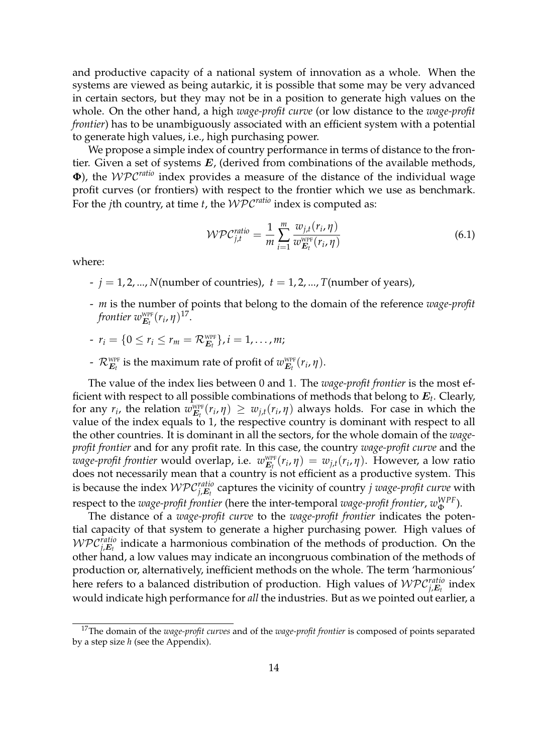and productive capacity of a national system of innovation as a whole. When the systems are viewed as being autarkic, it is possible that some may be very advanced in certain sectors, but they may not be in a position to generate high values on the whole. On the other hand, a high *wage-profit curve* (or low distance to the *wage-profit frontier*) has to be unambiguously associated with an efficient system with a potential to generate high values, i.e., high purchasing power.

We propose a simple index of country performance in terms of distance to the frontier. Given a set of systems  $E$ , (derived from combinations of the available methods, **Φ**), the WPC*ratio* index provides a measure of the distance of the individual wage profit curves (or frontiers) with respect to the frontier which we use as benchmark. For the *j*th country, at time *t*, the WPC*ratio* index is computed as:

$$
\mathcal{WPC}_{j,t}^{ratio} = \frac{1}{m} \sum_{i=1}^{m} \frac{w_{j,t}(r_i, \eta)}{w_{E_t}^{w_{\text{PF}}} (r_i, \eta)}
$$
(6.1)

where:

- $j = 1, 2, ..., N$ (number of countries),  $t = 1, 2, ..., T$ (number of years),
- *m* is the number of points that belong to the domain of the reference *wage-profit frontier*  $w^{\text{WPF}}_{E_t}(r_i, \eta)^{17}$ .
- $r_i = \{0 \le r_i \le r_m = \mathcal{R}_{E_t}^{\text{WPF}}\}, i = 1, ..., m;$
- $\mathcal{R}^{\text{wPF}}_{E_t}$  is the maximum rate of profit of  $w^{\text{wPF}}_{E_t}(r_i, \eta)$ .

The value of the index lies between 0 and 1. The *wage-profit frontier* is the most efficient with respect to all possible combinations of methods that belong to E*<sup>t</sup>* . Clearly, for any  $r_i$ , the relation  $w_{E_t}^{\text{WPF}}(r_i, \eta) \geq w_{j,t}(r_i, \eta)$  always holds. For case in which the value of the index equals to 1, the respective country is dominant with respect to all the other countries. It is dominant in all the sectors, for the whole domain of the *wageprofit frontier* and for any profit rate. In this case, the country *wage-profit curve* and the *wage-profit frontier* would overlap, i.e.  $w_{E_t}^{\text{wPF}}(r_i, \eta) = w_{j,t}(r_i, \eta)$ . However, a low ratio does not necessarily mean that a country is not efficient as a productive system. This is because the index  $\mathcal{WPC}_{j,\boldsymbol{E}_t}^{ratio}$  captures the vicinity of country  $j$  wage-profit curve with respect to the *wage-profit frontier* (here the inter-temporal *wage-profit frontier*, *w WPF* Φ ).

The distance of a *wage-profit curve* to the *wage-profit frontier* indicates the potential capacity of that system to generate a higher purchasing power. High values of  $\mathcal{WPC}^{ratio}_{j,\boldsymbol{E}_t}$  indicate a harmonious combination of the methods of production. On the other hand, a low values may indicate an incongruous combination of the methods of production or, alternatively, inefficient methods on the whole. The term 'harmonious' here refers to a balanced distribution of production. High values of  $\mathcal{WPC}^{ratio}_{j,\boldsymbol{E}_t}$  index would indicate high performance for *all* the industries. But as we pointed out earlier, a

<sup>17</sup>The domain of the *wage-profit curves* and of the *wage-profit frontier* is composed of points separated by a step size *h* (see the Appendix).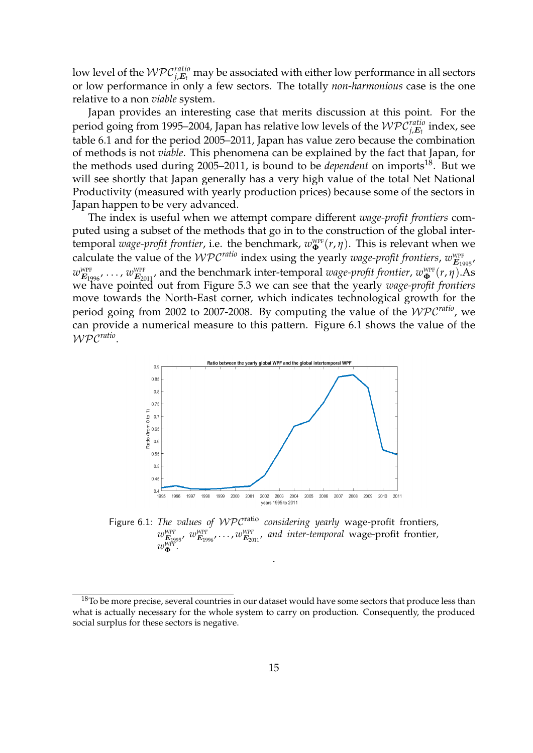low level of the  $\mathcal{WPC}^{ratio}_{j,\boldsymbol{E}_t}$  may be associated with either low performance in all sectors or low performance in only a few sectors. The totally *non-harmonious* case is the one relative to a non *viable* system.

Japan provides an interesting case that merits discussion at this point. For the period going from 1995–2004, Japan has relative low levels of the  $\mathcal{WPC}^{ratio}_{j,\boldsymbol{E}_t}$  index, see table 6.1 and for the period 2005–2011, Japan has value zero because the combination of methods is not *viable*. This phenomena can be explained by the fact that Japan, for the methods used during 2005–2011, is bound to be *dependent* on imports<sup>18</sup>. But we will see shortly that Japan generally has a very high value of the total Net National Productivity (measured with yearly production prices) because some of the sectors in Japan happen to be very advanced.

The index is useful when we attempt compare different *wage-profit frontiers* computed using a subset of the methods that go in to the construction of the global intertemporal *wage-profit frontier*, i.e. the benchmark,  $w_{\Phi}^{\text{WPF}}(r, \eta)$ . This is relevant when we calculate the value of the  $WPC^{ratio}$  index using the yearly *wage-profit frontiers*,  $w_{E_{1995}}^{WPF}$ ,  $w_{E_{1996}}^{\text{WPF}}$ , ...,  $w_{E_{2011}}^{\text{WPF}}$ , and the benchmark inter-temporal *wage-profit frontier*,  $w_{\Phi}^{\text{WPF}}(r, \eta)$ .As we have pointed out from Figure 5.3 we can see that the yearly *wage-profit frontiers* move towards the North-East corner, which indicates technological growth for the period going from 2002 to 2007-2008. By computing the value of the WPC*ratio*, we can provide a numerical measure to this pattern. Figure 6.1 shows the value of the WPC*ratio* .



Figure 6.1: *The values of WPC*<sup>ratio</sup> *considering yearly* wage-profit frontiers,  $w^{\text{\tiny WPF}}_{\bm{E}_{1995}},\ w^{\text{\tiny WPF}}_{\bm{E}_{1996}},\dots,w^{\text{\tiny WPF}}_{\bm{E}_{2011}},\ \textit{and}\ \textit{inter-temporal}\ \text{wage-profit frontier},$  $w^{\text{WPF}}_{\bf \Phi}$ .

.

 $18$ To be more precise, several countries in our dataset would have some sectors that produce less than what is actually necessary for the whole system to carry on production. Consequently, the produced social surplus for these sectors is negative.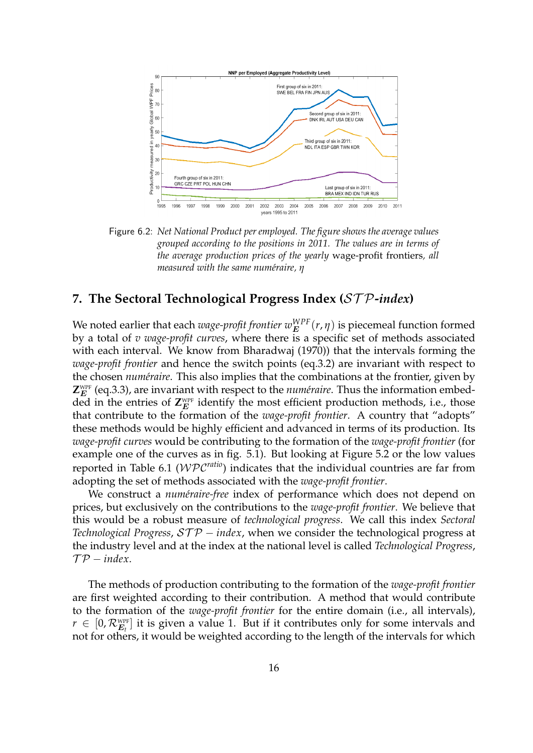

Figure 6.2: *Net National Product per employed. The figure shows the average values grouped according to the positions in 2011. The values are in terms of the average production prices of the yearly* wage-profit frontiers*, all measured with the same numéraire, η* 

## **7. The Sectoral Technological Progress Index (**ST P**-***index***)**

We noted earlier that each  $wage\text{-}profit frontier\ w_E^{WPF}(r,\eta)$  is piecemeal function formed by a total of *v wage-profit curves*, where there is a specific set of methods associated with each interval. We know from Bharadwaj (1970)) that the intervals forming the *wage-profit frontier* and hence the switch points (eq.3.2) are invariant with respect to the chosen *num´eraire*. This also implies that the combinations at the frontier, given by  $\mathsf{Z}_E^{\text{\tiny WPF}}$  (eq.3.3), are invariant with respect to the *numéraire*. Thus the information embedded in the entries of  $\mathsf{Z}_E^{\text{\tiny WPF}}$  identify the most efficient production methods, i.e., those that contribute to the formation of the *wage-profit frontier*. A country that "adopts" these methods would be highly efficient and advanced in terms of its production. Its *wage-profit curves* would be contributing to the formation of the *wage-profit frontier* (for example one of the curves as in fig. 5.1). But looking at Figure 5.2 or the low values reported in Table 6.1 (WPC*ratio*) indicates that the individual countries are far from adopting the set of methods associated with the *wage-profit frontier*.

We construct a *numéraire-free* index of performance which does not depend on prices, but exclusively on the contributions to the *wage-profit frontier*. We believe that this would be a robust measure of *technological progress*. We call this index *Sectoral Technological Progress, STP* − *index*, when we consider the technological progress at the industry level and at the index at the national level is called *Technological Progress*,  $\mathcal{TP}-index$ .

The methods of production contributing to the formation of the *wage-profit frontier* are first weighted according to their contribution. A method that would contribute to the formation of the *wage-profit frontier* for the entire domain (i.e., all intervals),  $r \in [0, \mathcal{R}_{E_t}^{\text{WPF}}]$  it is given a value 1. But if it contributes only for some intervals and not for others, it would be weighted according to the length of the intervals for which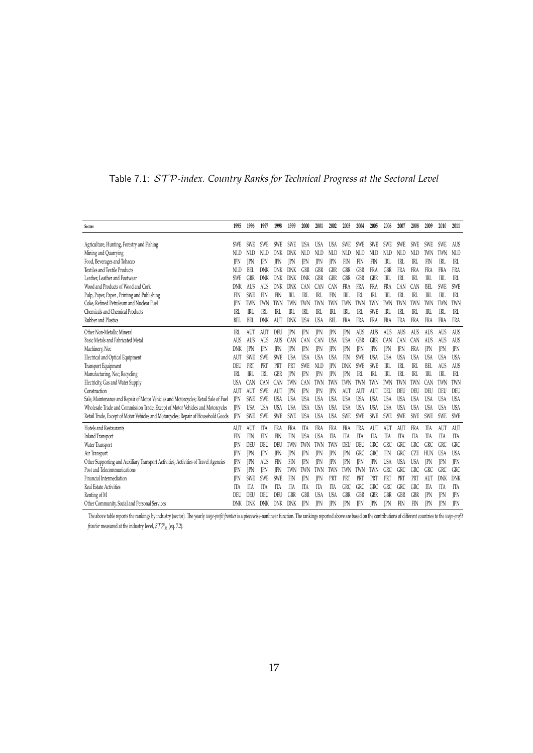| Sectors                                                                             | 1995       | 1996               | 1997       | 1998       | 1999       | 2000       | 2001                     | 2002              | 2003                     | 2004                     | 2005       | 2006           | 2007              | 2008       | 2009       | 2010              | 2011              |
|-------------------------------------------------------------------------------------|------------|--------------------|------------|------------|------------|------------|--------------------------|-------------------|--------------------------|--------------------------|------------|----------------|-------------------|------------|------------|-------------------|-------------------|
|                                                                                     |            |                    |            |            |            |            |                          |                   |                          |                          |            |                |                   |            |            |                   |                   |
| Agriculture, Hunting, Forestry and Fishing                                          | <b>SWE</b> | SWE                | <b>SWE</b> | SWE.       | <b>SWE</b> | USA        | <b>USA</b>               | USA               | <b>SWE</b>               | <b>SWE</b>               | <b>SWE</b> | <b>SWE</b>     | SWE               | <b>SWE</b> | <b>SWE</b> | SWE               | <b>AUS</b>        |
| Mining and Quarrying                                                                | NLD        | NLD                | NLD        | DNK        | DNK        | NLD        | NLD                      | NLD               | NLD                      | NLD                      | NLD        | NLD            | <b>NLD</b>        | NLD        | TWN        | TWN               | <b>NLD</b>        |
| Food, Beverages and Tobacco<br><b>Textiles and Textile Products</b>                 | IPN        | <b>IPN</b>         | <b>IPN</b> | <b>IPN</b> | <b>IPN</b> | <b>IPN</b> | <b>IPN</b>               | JPN               | FIN                      | FIN                      | FIN        | $R$ L          | IRL               | IRL        | FIN        | IRL               | IRL<br><b>FRA</b> |
| Leather. Leather and Footwear                                                       | NLD<br>SWE | BEI.<br><b>GBR</b> | DNK<br>DNK | DNK        | DNK        | GBR        | <b>GBR</b><br><b>GBR</b> | GBR<br><b>GBR</b> | <b>GBR</b><br><b>GBR</b> | <b>GBR</b><br><b>GBR</b> | FRA<br>GBR | GBR<br>IRL     | <b>FRA</b><br>IRL | FRA<br>IRL | FRA<br>IRL | <b>FRA</b><br>IRL | IRL               |
| Wood and Products of Wood and Cork                                                  | DNK        | AUS                | AUS        | DNK<br>DNK | DNK<br>DNK | DNK<br>CAN | CAN                      | CAN               | FRA                      | FRA                      | FRA        | FRA            | CAN               | CAN        | BEL        | SWE               | SWF               |
| Pulp, Paper, Paper, Printing and Publishing                                         | FIN        | SWE                | FIN        | FIN        | <b>IRL</b> | IRL        | IRL                      | FIN               | IRL                      | <b>IRL</b>               | IRL        | IRL            | IRL               | IRL        | IRL        | IRL               | <b>IRL</b>        |
| Coke, Refined Petroleum and Nuclear Fuel                                            | IPN        | TWN                | TWN        | TWN        | TWN        | TWN        | TWN                      | TWN               | TWN                      | TWN                      | TWN        | TWN            | TWN               | TWN        | TWN        | TWN               | TWN               |
| Chemicals and Chemical Products                                                     | IRL        | TRT.               | IRI.       | TRT.       | IRI.       | IRL        | IRI                      | TRT.              | IRL                      | IRL                      | <b>SWE</b> | IRI            | IRI               | TRI.       | TRT.       | TRI.              | IRI.              |
| Rubber and Plastics                                                                 | BEL        | BEL                | DNK        | AUT        | DNK        | <b>USA</b> | <b>USA</b>               | BEL               | FRA                      | <b>FRA</b>               | FRA        | FRA            | <b>FRA</b>        | FRA        | FRA        | <b>FRA</b>        | <b>FRA</b>        |
| Other Non-Metallic Mineral                                                          | IRL        | AUT                | AUT        | DEU        | <b>IPN</b> | <b>IPN</b> | <b>IPN</b>               | <b>IPN</b>        | <b>IPN</b>               | AUS                      | AUS        | AUS            | AUS               | AUS        | AUS        | AUS               | AUS               |
| Basic Metals and Fabricated Metal                                                   | AUS        | AUS                | AUS        | AUS        | CAN        | CAN        | CAN                      | <b>USA</b>        | <b>USA</b>               | <b>GBR</b>               | GBR        | CAN            | CAN               | CAN        | AUS        | AUS               | AUS               |
| Machinery, Nec                                                                      | DNK        | <b>IPN</b>         | <b>IPN</b> | IPN        | <b>IPN</b> | <b>IPN</b> | IPN                      | JPN               | <b>IPN</b>               | <b>IPN</b>               | <b>IPN</b> | <b>IPN</b>     | <b>IPN</b>        | FRA        | <b>IPN</b> | <b>IPN</b>        | <b>IPN</b>        |
| Electrical and Optical Equipment                                                    | AUT        | <b>SWE</b>         | SWE        | SWE.       | <b>USA</b> | <b>USA</b> | <b>USA</b>               | <b>USA</b>        | FIN                      | <b>SWE</b>               | <b>USA</b> | <b>USA</b>     | <b>USA</b>        | <b>USA</b> | <b>USA</b> | <b>USA</b>        | <b>USA</b>        |
| Transport Equipment                                                                 | DEU        | PRT                | PRT        | PRT        | PRT        | SWE        | NLD                      | <b>IPN</b>        | DNK                      | <b>SWE</b>               | SWE        | <b>IRL</b>     | IRL               | IRL        | BEL        | AUS               | AUS               |
| Manufacturing, Nec; Recycling                                                       | IRL        | IRL                | IRL        | <b>GBR</b> | <b>IPN</b> | <b>IPN</b> | <b>IPN</b>               | JPN               | <b>IPN</b>               | R <sub>L</sub>           | IRL        | R <sub>L</sub> | IRL               | IRL        | IRL        | IRL               | IRL               |
| Electricity, Gas and Water Supply                                                   | <b>USA</b> | CAN                | CAN        | <b>CAN</b> | TWN        | CAN        | TWN                      | TWN               | TWN                      | TWN                      | TWN        | TWN            | TWN               | TWN        | <b>CAN</b> | TWN               | TWN               |
| Construction                                                                        | AUT        | AUT                | SWE        | AUT        | <b>PN</b>  | <b>IPN</b> | <b>IPN</b>               | JPN               | AUT                      | AUT                      | AUT        | DEU            | DEU               | DEU        | DEU        | DEU               | DEU               |
| Sale, Maintenance and Repair of Motor Vehicles and Motorcycles; Retail Sale of Fuel | JPN        | SWE                | SWE        | USA        | <b>USA</b> | <b>USA</b> | <b>USA</b>               | <b>USA</b>        | <b>USA</b>               | <b>USA</b>               | <b>USA</b> | <b>USA</b>     | <b>USA</b>        | <b>USA</b> | USA        | <b>USA</b>        | <b>USA</b>        |
| Wholesale Trade and Commission Trade, Except of Motor Vehicles and Motorcycles      | IPN        | <b>USA</b>         | USA        | USA        | <b>USA</b> | <b>USA</b> | USA                      | <b>USA</b>        | <b>USA</b>               | <b>USA</b>               | <b>USA</b> | <b>USA</b>     | <b>USA</b>        | <b>USA</b> | <b>USA</b> | <b>USA</b>        | <b>USA</b>        |
| Retail Trade, Except of Motor Vehicles and Motorcycles; Repair of Household Goods   | <b>IPN</b> | SWE                | SWE        | SWE        | <b>SWE</b> | <b>USA</b> | <b>USA</b>               | <b>USA</b>        | SWE                      | SWE                      | SWE        | SWE            | SWE               | SWE        | SWE        | SWE               | <b>SWE</b>        |
| Hotels and Restaurants                                                              | AUT        | AUT                | <b>ITA</b> | FRA        | <b>FRA</b> | <b>ITA</b> | <b>FRA</b>               | <b>FRA</b>        | FRA                      | <b>FRA</b>               | AUT        | AUT            | AUT               | FRA        | <b>ITA</b> | AUT               | AUT               |
| Inland Transport                                                                    | FIN        | FIN                | FIN        | FIN        | FIN        | <b>USA</b> | <b>USA</b>               | ITA               | ITA                      | ITA                      | ITA        | IΤA            | ITA               | ITA        | ITA        | ITA               | ITA               |
| Water Transport                                                                     | <b>IPN</b> | DEU                | DEU        | DEU        | TWN        | TWN        | TWN                      | TWN               | DEU                      | DEU                      | GRC        | GRC            | <b>GRC</b>        | GRC        | GRC        | GRC               | <b>GRC</b>        |
| Air Transport                                                                       | IPN        | JPN                | JPN        | <b>IPN</b> | JPN        | <b>IPN</b> | <b>IPN</b>               | JPN               | <b>IPN</b>               | <b>GRC</b>               | GRC        | FIN            | GRC               | CZE        | HUN        | <b>USA</b>        | <b>USA</b>        |
| Other Supporting and Auxiliary Transport Activities; Activities of Travel Agencies  | IPN        | <b>IPN</b>         | AUS        | FIN        | FIN        | IPN        | <b>IPN</b>               | <b>IPN</b>        | <b>IPN</b>               | IPN                      | <b>IPN</b> | <b>USA</b>     | <b>USA</b>        | <b>USA</b> | <b>IPN</b> | <b>IPN</b>        | <b>IPN</b>        |
| Post and Telecommunications                                                         | IPN        | <b>IPN</b>         | IPN        | IPN        | TWN        | TWN        | TWN                      | TWN               | TWN                      | TWN                      | TWN        | GRC            | <b>GRC</b>        | GRC        | <b>GRC</b> | <b>GRC</b>        | <b>GRC</b>        |
| Financial Intermediation                                                            | <b>IPN</b> | SWE                | SWE        | <b>SWE</b> | FIN        | <b>IPN</b> | <b>IPN</b>               | PRT               | PRT                      | PRT                      | PRT        | PRT            | PRT               | PRT        | AUT        | DNK               | DNK               |
| Real Estate Activities                                                              | ITA        | ITA                | ITA        | ITA        | ITA        | ITA        | ITA                      | ITA               | GRC                      | <b>GRC</b>               | GRC        | GRC            | <b>GRC</b>        | GRC        | ITA        | ITA               | ITA               |
| Renting of M                                                                        | DEU        | DEU                | DEU        | DEU        | GBR        | GBR        | <b>USA</b>               | <b>USA</b>        | <b>GBR</b>               | <b>GBR</b>               | <b>GBR</b> | GBR            | <b>GBR</b>        | GBR        | <b>IPN</b> | <b>IPN</b>        | <b>IPN</b>        |
| Other Community, Social and Personal Services                                       | DNK        | DNK                | DNK        | DNK        | DNK        | <b>IPN</b> | <b>IPN</b>               | <b>IPN</b>        | <b>IPN</b>               | <b>IPN</b>               | <b>TPN</b> | <b>IPN</b>     | FIN               | FIN        | <b>IPN</b> |                   | <b>IPN</b>        |

## Table 7.1: ST P*-index. Country Ranks for Technical Progress at the Sectoral Level*

The above table reports the rankings by industry (sector). The yearly *unge-profit frontier* is a piecewise-nonlinear function. The rankings reported above are based on the contributions of different countries to the *unge frontier* measured at the industry level,  $\mathcal{STP}_{E_t}^j$  (eq. 7.2).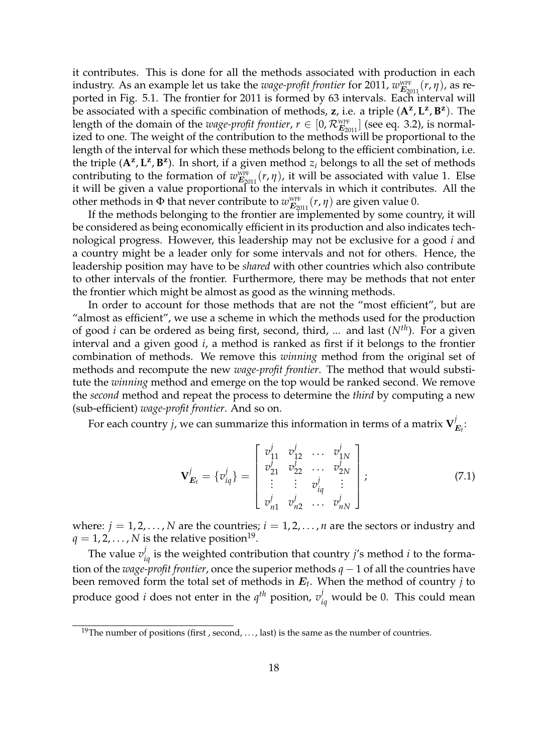it contributes. This is done for all the methods associated with production in each industry. As an example let us take the *wage-profit frontier* for 2011,  $w_{\mathbf{E}_{2011}}^{\text{WPF}}(r, \eta)$ , as reported in Fig. 5.1. The frontier for 2011 is formed by 63 intervals. Each interval will be associated with a specific combination of methods, **z**, i.e. a triple (**A<sup>z</sup>** , **L z** , **B z** ). The length of the domain of the *wage-profit frontier*,  $r \in [0, \mathcal{R}_{E_{2011}}^{\text{WPF}}]$  (see eq. 3.2), is normalized to one. The weight of the contribution to the methods will be proportional to the length of the interval for which these methods belong to the efficient combination, i.e. the triple  $(A^z, L^z, B^z)$ . In short, if a given method  $z_i$  belongs to all the set of methods contributing to the formation of  $w_{E_{2011}}^{\text{WPF}}(r, \eta)$ , it will be associated with value 1. Else it will be given a value proportional to the intervals in which it contributes. All the other methods in  $\Phi$  that never contribute to  $w_{\mathbf{E}_{2011}}^{\text{WPF}}(r, \eta)$  are given value 0.

If the methods belonging to the frontier are implemented by some country, it will be considered as being economically efficient in its production and also indicates technological progress. However, this leadership may not be exclusive for a good *i* and a country might be a leader only for some intervals and not for others. Hence, the leadership position may have to be *shared* with other countries which also contribute to other intervals of the frontier. Furthermore, there may be methods that not enter the frontier which might be almost as good as the winning methods.

In order to account for those methods that are not the "most efficient", but are "almost as efficient", we use a scheme in which the methods used for the production of good *i* can be ordered as being first, second, third, ... and last (*Nth*). For a given interval and a given good *i*, a method is ranked as first if it belongs to the frontier combination of methods. We remove this *winning* method from the original set of methods and recompute the new *wage-profit frontier*. The method that would substitute the *winning* method and emerge on the top would be ranked second. We remove the *second* method and repeat the process to determine the *third* by computing a new (sub-efficient) *wage-profit frontier*. And so on.

For each country  $j$ , we can summarize this information in terms of a matrix  $\mathbf{V}_j^j$  $\stackrel{\prime}{E}_t$  :

$$
\mathbf{V}_{\boldsymbol{E}_{l}}^{j} = \{v_{iq}^{j}\} = \begin{bmatrix} v_{11}^{j} & v_{12}^{j} & \dots & v_{1N}^{j} \\ v_{21}^{j} & v_{22}^{j} & \dots & v_{2N}^{j} \\ \vdots & \vdots & v_{iq}^{j} & \vdots \\ v_{n1}^{j} & v_{n2}^{j} & \dots & v_{nN}^{j} \end{bmatrix},
$$
(7.1)

where:  $j = 1, 2, ..., N$  are the countries;  $i = 1, 2, ..., n$  are the sectors or industry and  $q=1,2,\ldots,N$  is the relative position<sup>19</sup>.

The value  $v_{iq}^j$  is the weighted contribution that country *j'*s method *i* to the formation of the *wage-profit frontier*, once the superior methods *q* − 1 of all the countries have been removed form the total set of methods in E*<sup>t</sup>* . When the method of country *j* to produce good *i* does not enter in the  $q^{th}$  position,  $v_{iq}^j$  would be 0. This could mean

<sup>&</sup>lt;sup>19</sup>The number of positions (first, second, ..., last) is the same as the number of countries.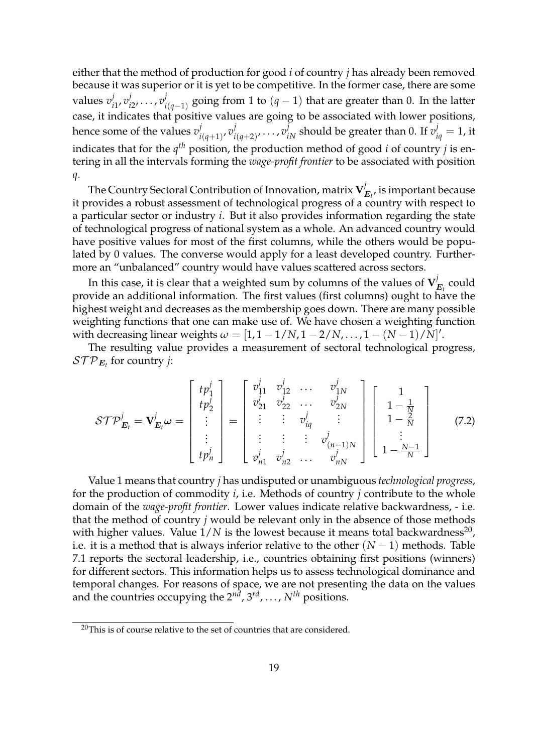either that the method of production for good *i* of country *j* has already been removed because it was superior or it is yet to be competitive. In the former case, there are some values *v j i*1 , *v j i*2 , . . . , *v j i*(*q*−1) going from 1 to (*q* − 1) that are greater than 0. In the latter case, it indicates that positive values are going to be associated with lower positions, hence some of the values *v j i*(*q*+1) , *v j*  $\dot{v}^j_{i(q+2)}, \ldots, \dot{v}^j_{iN}$  should be greater than 0. If  $\dot{v}^j_{iq} = 1$ , it indicates that for the  $q^{th}$  position, the production method of good *i* of country *j* is entering in all the intervals forming the *wage-profit frontier* to be associated with position *q*.

The Country Sectoral Contribution of Innovation, matrix **V** *j*  $E_t$ , is important because it provides a robust assessment of technological progress of a country with respect to a particular sector or industry *i*. But it also provides information regarding the state of technological progress of national system as a whole. An advanced country would have positive values for most of the first columns, while the others would be populated by 0 values. The converse would apply for a least developed country. Furthermore an "unbalanced" country would have values scattered across sectors.

In this case, it is clear that a weighted sum by columns of the values of  $\mathbf{V}^j_i$  $E_t$  could provide an additional information. The first values (first columns) ought to have the highest weight and decreases as the membership goes down. There are many possible weighting functions that one can make use of. We have chosen a weighting function with decreasing linear weights  $\omega = [1, 1 - 1/N, 1 - 2/N, \ldots, 1 - (N-1)/N]'.$ 

The resulting value provides a measurement of sectoral technological progress,  $\mathcal{STP}_{\boldsymbol{E_t}}$  for country *j*:

$$
\mathcal{STP}_{\mathbf{E}_{t}}^{j} = \mathbf{V}_{\mathbf{E}_{t}}^{j} \boldsymbol{\omega} = \begin{bmatrix} tp_{1}^{j} \\ tp_{2}^{j} \\ \vdots \\ tp_{n}^{j} \end{bmatrix} = \begin{bmatrix} v_{11}^{j} & v_{12}^{j} & \cdots & v_{1N}^{j} \\ v_{21}^{j} & v_{22}^{j} & \cdots & v_{2N}^{j} \\ \vdots & \vdots & \vdots & v_{iq}^{j} \\ v_{n1}^{j} & v_{n2}^{j} & \cdots & v_{nN}^{j} \end{bmatrix} \begin{bmatrix} 1 \\ 1 - \frac{1}{N} \\ 1 - \frac{2}{N} \\ \vdots \\ 1 - \frac{N-1}{N} \end{bmatrix}
$$
(7.2)

Value 1 means that country *j* has undisputed or unambiguous *technological progress*, for the production of commodity *i*, i.e. Methods of country *j* contribute to the whole domain of the *wage-profit frontier*. Lower values indicate relative backwardness, - i.e. that the method of country *j* would be relevant only in the absence of those methods with higher values. Value  $1/N$  is the lowest because it means total backwardness<sup>20</sup>, i.e. it is a method that is always inferior relative to the other  $(N-1)$  methods. Table 7.1 reports the sectoral leadership, i.e., countries obtaining first positions (winners) for different sectors. This information helps us to assess technological dominance and temporal changes. For reasons of space, we are not presenting the data on the values and the countries occupying the 2<sup>nd</sup>, 3<sup>rd</sup>, ..., N<sup>th</sup> positions.

<sup>&</sup>lt;sup>20</sup>This is of course relative to the set of countries that are considered.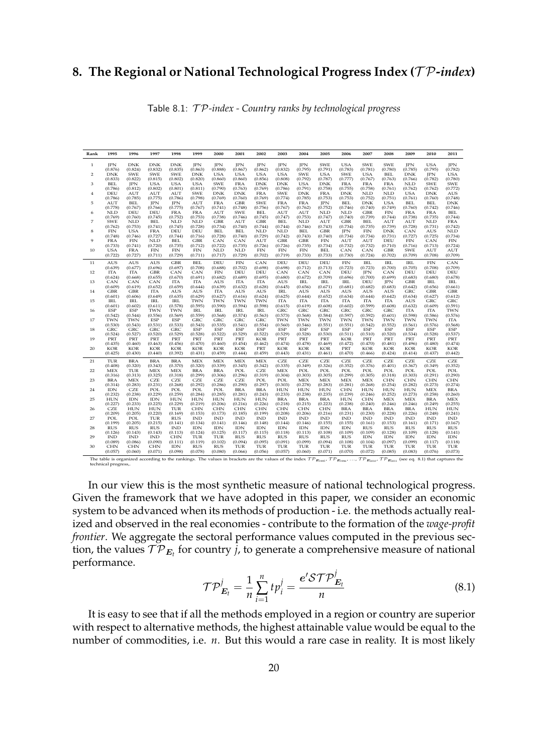## **8. The Regional or National Technological Progress Index (**T P**-***index***)**

| Rank           | 1995                  | 1996                  | 1997                  | 1998                  | 1999                  | 2000                  | 2001           | 2002                  | 2003                  | 2004           | 2005           | 2006           | 2007           | 2008           | 2009           | 2010                  | 2011                   |
|----------------|-----------------------|-----------------------|-----------------------|-----------------------|-----------------------|-----------------------|----------------|-----------------------|-----------------------|----------------|----------------|----------------|----------------|----------------|----------------|-----------------------|------------------------|
| 1              | <b>IPN</b>            | <b>DNK</b>            | <b>DNK</b>            | <b>DNK</b>            | <b>JPN</b>            | <b>JPN</b>            | <b>JPN</b>     | JPN                   | <b>JPN</b>            | JPN            | <b>SWE</b>     | <b>USA</b>     | <b>SWE</b>     | <b>SWE</b>     | <b>JPN</b>     | <b>USA</b>            | JPN                    |
|                | (0.876)               | (0.824)               | (0.832)               | (0.835)               | (0.863)               | (0.888)               | (0.867)        | (0.862)               | (0.832)               | (0.795)        | (0.791)        | (0.783)        | (0.781)        | (0.780)        | (0.785)        | (0.795)               | (0.782)                |
| 2              | <b>DNK</b>            | <b>SWE</b>            | <b>SWE</b>            | SWE                   | <b>DNK</b>            | <b>USA</b>            | <b>USA</b>     | <b>USA</b>            | <b>USA</b>            | SWE            | <b>USA</b>     | <b>SWE</b>     | <b>USA</b>     | <b>BEL</b>     | <b>DNK</b>     | <b>JPN</b>            | <b>USA</b>             |
|                | (0.833)               | (0.822)               | (0.815)               | (0.802)               | (0.820)               | (0.860)               | (0.860)        | (0.856)               | (0.808)               | (0.792)        | (0.787)        | (0.777)        | (0.767)        | (0.763)        | (0.766)        | (0.782)               | (0.780)                |
| 3              | <b>BEL</b>            | <b>JPN</b>            | <b>USA</b>            | <b>USA</b>            | <b>USA</b>            | <b>SWE</b>            | <b>FRA</b>     | <b>DNK</b>            | <b>DNK</b>            | <b>USA</b>     | <b>DNK</b>     | <b>FRA</b>     | <b>FRA</b>     | <b>FRA</b>     | <b>NLD</b>     | <b>SWE</b>            | <b>SWE</b>             |
|                | (0.786)               | (0.812)               | (0.802)               | (0.801)               | (0.811)               | (0.790)               | (0.763)        | (0.769)               | (0.786)               | (0.791)        | (0.758)        | (0.755)        | (0.758)        | (0.761)        | (0.762)        | (0.762)               | (0.772)                |
| $\overline{4}$ | DEU                   | AUT                   | AUT                   | AUT                   | <b>SWE</b>            | <b>DNK</b>            | <b>DNK</b>     | <b>FRA</b>            | <b>SWE</b>            | <b>DNK</b>     | <b>FRA</b>     | <b>DNK</b>     | <b>NLD</b>     | <b>NLD</b>     | <b>USA</b>     | <b>DNK</b>            | <b>AUS</b>             |
|                | (0.786)               | (0.785)               | (0.775)               | (0.786)               | (0.798)               | (0.769)               | (0.760)        | (0.769)               | (0.774)               | (0.785)        | (0.753)        | (0.753)        | (0.752)        | (0.751)        | (0.761)        | (0.760)               | (0.748)                |
| 5              | AUT                   | <b>BEL</b>            | <b>JPN</b>            | <b>JPN</b>            | AUT                   | <b>FRA</b>            | <b>GBR</b>     | <b>SWE</b>            | <b>FRA</b>            | <b>FRA</b>     | <b>JPN</b>     | <b>BEL</b>     | <b>DNK</b>     | <b>USA</b>     | <b>BEL</b>     | <b>BEL</b>            | <b>DNK</b>             |
|                | (0.778)               | (0.767)               | (0.766)               | (0.775)               | (0.767)               | (0.741)               | (0.748)        | (0.756)               | (0.767)               | (0.762)        | (0.752)        | (0.746)        | (0.740)        | (0.749)        | (0.760)        | (0.742)               | (0.746)                |
| 6              | <b>NLD</b>            | DEU                   | DEU                   | <b>FRA</b>            | <b>FRA</b>            | AUT                   | <b>SWE</b>     | <b>BEL</b>            | AUT                   | AUT            | <b>NLD</b>     | <b>NLD</b>     | <b>GBR</b>     | FIN            | <b>FRA</b>     | <b>FRA</b>            | <b>BEL</b>             |
|                | (0.769)               | (0.760)               | (0.745)               | (0.752)               | (0.753)               | (0.738)               | (0.746)        | (0.745)               | (0.747)               | (0.753)        | (0.747)        | (0.740)        | (0.739)        | (0.744)        | (0.738)        | (0.735)               | (0.744)                |
| 7              | <b>SWE</b>            | <b>NLD</b>            | <b>BEL</b>            | <b>NLD</b>            | <b>NLD</b>            | <b>GBR</b>            | AUT            | <b>GBR</b>            | <b>BEL</b>            | <b>NLD</b>     | AUT            | <b>GBR</b>     | <b>BEL</b>     | AUT            | AUT            | <b>NLD</b>            | <b>FRA</b>             |
|                | (0.762)               | (0.753)               | (0.741)               | (0.745)               | (0.728)               | (0.734)               | (0.740)        | (0.744)               | (0.744)               | (0.746)        | (0.743)        | (0.734)        | (0.735)        | (0.739)        | (0.728)        | (0.731)               | (0.742)                |
| 8              | <b>FIN</b>            | <b>USA</b>            | <b>FRA</b>            | DEU                   | DEU                   | <b>BEL</b>            | <b>BEL</b>     | <b>NLD</b>            | <b>NLD</b>            | <b>BEL</b>     | <b>GBR</b>     | <b>JPN</b>     | <b>FIN</b>     | <b>DNK</b>     | CAN            | <b>AUS</b>            | <b>NLD</b>             |
|                | (0.748)               | (0.746)               | (0.727)               | (0.744)               | (0.716)               | (0.728)               | (0.740)        | (0.729)               | (0.742)               | (0.743)        | (0.740)        | (0.734)        | (0.734)        | (0.731)        | (0.727)        | (0.725)               | (0.734)                |
| 9              | <b>FRA</b>            | <b>FIN</b>            | <b>NLD</b>            | <b>BEL</b>            | <b>GBR</b>            | CAN                   | CAN            | AUT                   | <b>GBR</b>            | <b>GBR</b>     | <b>FIN</b>     | AUT            | AUT            | DEU            | <b>FIN</b>     | CAN                   | <b>FIN</b>             |
|                | (0.733)               | (0.741)               | (0.720)               | (0.735)               | (0.712)               | (0.722)               | (0.735)        | (0.726)               | (0.726)               | (0.735)        | (0.734)        | (0.732)        | (0.732)        | (0.710)        | (0.716)        | (0.713)               | (0.724)                |
| 10             | <b>USA</b>            | <b>FRA</b>            | <b>FIN</b>            | <b>FIN</b>            | <b>FIN</b>            | <b>NLD</b>            | <b>NLD</b>     | <b>FIN</b>            | <b>FIN</b>            | <b>FIN</b>     | <b>BEL</b>     | CAN            | CAN            | <b>GBR</b>     | <b>SWE</b>     | AUT                   | AUT                    |
|                | (0.722)               | (0.727)               | (0.711)               | (0.729)               | (0.711)               | (0.717)               | (0.729)        | (0.702)               | (0.719)               | (0.733)        | (0.733)        | (0.730)        | (0.724)        | (0.702)        | (0.709)        | (0.708)               | (0.709)                |
| 11             | AUS                   | <b>AUS</b>            | <b>AUS</b>            | <b>GBR</b>            | <b>BEL</b>            | DEU                   | <b>FIN</b>     | CAN                   | DEU                   | DEU            | DEU            | <b>FIN</b>     | <b>IRL</b>     | <b>IRL</b>     | <b>IRL</b>     | <b>FIN</b>            | CAN                    |
|                | (0.639)               | (0.677)               | (0.696)               | (0.697)               | (0.708)               | (0.688)               | (0.702)        | (0.698)               | (0.698)               | (0.712)        | (0.713)        | (0.723)        | (0.723)        | (0.700)        | (0.705)        | (0.708)               | $_{\rm DEU}^{(0.709)}$ |
| 12             | <b>ITA</b>            | <b>ITA</b>            | <b>GBR</b>            | CAN                   | CAN                   | <b>FIN</b>            | DEU            | DEU                   | CAN                   | CAN            | CAN            | DEU            | <b>JPN</b>     | CAN            | DEU            | DEU                   |                        |
|                | (0.624)               | (0.668)               | (0.655)               | (0.670)               | (0.691)               | (0.682)               | (0.689)        | (0.695)               | (0.680)               | (0.672)        | (0.709)        | (0.696)        | (0.700)        | (0.699)        | (0.683)        | (0.680)               | (0.678)                |
| 13             | CAN                   | CAN                   | CAN                   | <b>ITA</b>            | <b>ITA</b>            | AUS                   | <b>ITA</b>     | <b>ITA</b>            | <b>AUS</b>            | <b>IRL</b>     | <b>IRL</b>     | <b>IRL</b>     | DEU            | <b>IPN</b>     | <b>GBR</b>     | <b>IRL</b>            | <b>IRL</b>             |
| 14             | (0.609)<br><b>GBR</b> | (0.619)<br><b>GBR</b> | (0.652)<br><b>ITA</b> | (0.659)<br><b>AUS</b> | (0.644)<br>AUS        | (0.639)<br><b>ITA</b> | (0.632)<br>AUS | (0.628)<br><b>AUS</b> | (0.645)<br><b>IRL</b> | (0.656)<br>AUS | (0.671)<br>AUS | (0.681)<br>AUS | (0.682)<br>AUS | (0.683)<br>AUS | (0.642)<br>GRC | (0.656)<br><b>GBR</b> | (0.661)<br><b>GBR</b>  |
|                | (0.601)               | (0.606)               | (0.649)               | (0.635)               | (0.629)               | (0.627)               | (0.616)        | (0.624)               | (0.625)               | (0.644)        | (0.652)        | (0.634)        | (0.644)        | (0.642)        | (0.634)        | (0.627)               | (0.612)                |
| 15             | <b>IRL</b>            | <b>IRL</b>            | <b>IRL</b>            | <b>IRL</b>            | <b>TWN</b>            | TWN                   | <b>TWN</b>     | <b>TWN</b>            | <b>ITA</b>            | <b>ITA</b>     | <b>ITA</b>     | <b>ITA</b>     | <b>ITA</b>     | <b>ITA</b>     | <b>AUS</b>     | GRC                   | GRC                    |
|                | (0.601)               | (0.602)               | (0.611)               | (0.578)               | (0.595)               | (0.590)               | (0.594)        | (0.598)               | (0.615)               | (0.619)        | (0.608)        | (0.602)        | (0.599)        | (0.608)        | (0.632)        | (0.609)               | (0.591)                |
| 16             | <b>ESP</b>            | <b>ESP</b>            | <b>TWN</b>            | <b>TWN</b>            | <b>IRL</b>            | <b>IRL</b>            | <b>IRL</b>     | IRL                   | GRC                   | GRC            | GRC            | GRC            | GRC            | GRC            | <b>ITA</b>     | <b>ITA</b>            | TWN                    |
|                | (0.542)               | (0.544)               | (0.556)               | (0.569)               | (0.559)               | (0.568)               | (0.574)        | (0.563)               | (0.573)               | (0.568)        | (0.584)        | (0.597)        | (0.592)        | (0.601)        | (0.598)        | (0.586)               | (0.576)                |
| 17             | <b>TWN</b>            | <b>TWN</b>            | <b>ESP</b>            | <b>ESP</b>            | GRC                   | GRC                   | GRC            | GRC                   | <b>TWN</b>            | <b>TWN</b>     | <b>TWN</b>     | <b>TWN</b>     | <b>TWN</b>     | <b>TWN</b>     | <b>TWN</b>     | <b>TWN</b>            | <b>ITA</b>             |
|                | (0.530)               | (0.543)               | (0.531)               | (0.533)               | (0.543)               | (0.535)               | (0.541)        | (0.554)               | (0.560)               | (0.546)        | (0.551)        | (0.551)        | (0.542)        | (0.552)        | (0.561)        | (0.576)               | $_{\rm ESP}^{(0.568)}$ |
| 18             | GRC                   | GRC                   | GRC                   | GRC                   | <b>ESP</b>            | <b>ESP</b>            | <b>ESP</b>     | <b>ESP</b>            | <b>ESP</b>            | <b>ESP</b>     | <b>ESP</b>     | <b>ESP</b>     | <b>ESP</b>     | <b>ESP</b>     | <b>ESP</b>     | <b>ESP</b>            |                        |
|                | (0.524)               | (0.527)               | (0.520)               | (0.529)               | (0.528)               | (0.522)               | (0.529)        | (0.522)               | (0.529)               | (0.528)        | (0.530)        | (0.511)        | (0.510)        | (0.520)        | (0.534)        | (0.528)               | (0.537)                |
| 19             | PRT                   | PRT                   | PRT                   | PRT                   | PRT                   | PRT                   | PRT            | <b>KOR</b>            | PRT                   | PRT            | PRT            | <b>KOR</b>     | PRT            | PRT            | PRT            | PRT                   | PRT                    |
|                | (0.435)               | (0.460)               | (0.463)               | (0.456)               | (0.470)               | (0.460)               | (0.454)        | (0.462)               | (0.474)               | (0.478)        | (0.469)        | (0.472)        | (0.470)        | (0.481)        | (0.496)        | (0.480)               | (0.474)                |
| 20             | <b>KOR</b>            | <b>KOR</b>            | <b>KOR</b>            | <b>KOR</b>            | <b>KOR</b>            | <b>KOR</b>            | <b>KOR</b>     | PRT                   | <b>KOR</b>            | <b>KOR</b>     | <b>KOR</b>     | PRT            | <b>KOR</b>     | <b>KOR</b>     | <b>KOR</b>     | <b>KOR</b>            | <b>KOR</b>             |
|                | (0.425)               | (0.430)               | (0.440)               | (0.392)               | (0.431)               | (0.459)               | (0.444)        | (0.459)               | (0.443)               | (0.431)        | (0.461)        | (0.470)        | (0.466)        | (0.424)        | (0.414)        | (0.437)               | (0.442)                |
| 21             | <b>TUR</b>            | <b>BRA</b>            | <b>BRA</b>            | <b>BRA</b>            | <b>MEX</b>            | <b>MEX</b>            | <b>MEX</b>     | <b>MEX</b>            | CZE                   | <b>CZE</b>     | <b>CZE</b>     | CZE            | CZE            | CZE            | <b>CZE</b>     | <b>CZE</b>            | <b>CZE</b>             |
| 22             | (0.408)<br><b>MEX</b> | (0.320)<br><b>TUR</b> | (0.343)<br><b>MEX</b> | (0.370)<br><b>MEX</b> | (0.320)<br><b>BRA</b> | (0.339)<br><b>BRA</b> | (0.345)<br>POL | (0.342)<br>CZE        | (0.335)<br><b>MEX</b> | (0.349)<br>POL | (0.326)<br>POL | (0.352)<br>POL | (0.376)<br>POL | (0.401)<br>POL | (0.367)<br>POL | (0.349)<br>POL        | (0.352)<br>POL         |
|                | (0.316)               | (0.313)               | (0.325)               | (0.318)               | (0.299)               | (0.306)               | (0.296)        | (0.319)               | (0.304)               | (0.303)        | (0.305)        | (0.299)        | (0.305)        | (0.318)        | (0.303)        | (0.291)               | (0.290)                |
| 23             | <b>BRA</b>            | <b>MEX</b>            | <b>CZE</b>            | CZE                   | <b>CZE</b>            | <b>CZE</b>            | CZE            | POL                   | POL                   | <b>MEX</b>     | <b>MEX</b>     | <b>MEX</b>     | <b>MEX</b>     | <b>CHN</b>     | <b>CHN</b>     | <b>CHN</b>            | <b>CHN</b>             |
|                | (0.314)               | (0.283)               | (0.231)               | (0.268)               | (0.292)               | (0.286)               | (0.290)        | (0.297)               | (0.303)               | (0.278)        | (0.283)        | (0.281)        | (0.268)        | (0.254)        | (0.282)        | (0.273)               | (0.274)                |
| 24             | <b>IDN</b>            | CZE                   | POL                   | POL                   | POL                   | POL                   | <b>BRA</b>     | <b>BRA</b>            | <b>HUN</b>            | <b>HUN</b>     | <b>HUN</b>     | <b>CHN</b>     | <b>HUN</b>     | <b>HUN</b>     | <b>HUN</b>     | <b>MEX</b>            | <b>BRA</b>             |
|                | (0.232)               | (0.238)               | (0.229)               | (0.259)               | (0.284)               | (0.285)               | (0.281)        | (0.243)               | (0.233)               | (0.238)        | (0.235)        | (0.239)        | (0.246)        | (0.252)        | (0.273)        | (0.258)               | (0.260)                |
| 25             | <b>HUN</b>            | <b>IDN</b>            | <b>IDN</b>            | <b>HUN</b>            | <b>HUN</b>            | <b>HUN</b>            | <b>HUN</b>     | <b>HUN</b>            | <b>BRA</b>            | <b>BRA</b>     | <b>BRA</b>     | <b>HUN</b>     | <b>CHN</b>     | <b>MEX</b>     | <b>MEX</b>     | <b>BRA</b>            | <b>MEX</b>             |
|                | (0.227)               | (0.233)               | (0.225)               | (0.229)               | (0.219)               | (0.206)               | (0.216)        | (0.226)               | (0.218)               | (0.215)        | (0.223)        | (0.238)        | (0.240)        | (0.246)        | (0.246)        | (0.249)               | (0.255)                |
| 26             | CZE                   | <b>HUN</b>            | <b>HUN</b>            | TUR                   | <b>CHN</b>            | <b>CHN</b>            | <b>CHN</b>     | CHN                   | <b>CHN</b>            | <b>CHN</b>     | <b>CHN</b>     | <b>BRA</b>     | <b>BRA</b>     | <b>BRA</b>     | <b>BRA</b>     | <b>HUN</b>            | <b>HUN</b>             |
|                | (0.209)               | (0.205)               | (0.220)               | (0.169)               | (0.153)               | (0.173)               | (0.185)        | (0.199)               | (0.208)               | (0.206)        | (0.216)        | (0.231)        | (0.230)        | (0.228)        | (0.226)        | (0.248)               | (0.241)                |
| 27             | POL                   | POL                   | TUR                   | <b>RUS</b>            | <b>IND</b>            | <b>IND</b>            | <b>IND</b>     | <b>IND</b>            | <b>IND</b>            | <b>IND</b>     | <b>IND</b>     | <b>IND</b>     | <b>IND</b>     | <b>IND</b>     | <b>IND</b>     | IND                   | <b>IND</b>             |
|                | (0.199)               | (0.205)               | (0.215)               | (0.141)               | (0.134)               | (0.141)               | (0.146)        | (0.148)               | (0.144)               | (0.146)        | (0.155)        | (0.155)        | (0.161)        | (0.153)        | (0.161)        | (0.171)               | (0.167)                |
| 28             | <b>RUS</b>            | <b>RUS</b>            | <b>RUS</b>            | <b>IND</b>            | <b>IDN</b>            | <b>IDN</b>            | <b>IDN</b>     | <b>IDN</b>            | <b>IDN</b>            | <b>IDN</b>     | <b>IDN</b>     | <b>IDN</b>     | <b>RUS</b>     | <b>RUS</b>     | <b>RUS</b>     | <b>RUS</b>            | <b>RUS</b>             |
|                | (0.126)               | (0.143)               | (0.143)               | (0.113)               | (0.124)               | (0.125)               | (0.117)        | (0.115)               | (0.118)               | (0.113)        | (0.108)        | (0.109)        | (0.109)        | (0.128)        | (0.109)        | (0.128)               | (0.141)                |
| 29             | <b>IND</b>            | <b>IND</b>            | IND                   | <b>CHN</b>            | <b>TUR</b>            | <b>TUR</b>            | <b>RUS</b>     | <b>RUS</b>            | <b>RUS</b>            | <b>RUS</b>     | <b>RUS</b>     | <b>RUS</b>     | <b>IDN</b>     | <b>IDN</b>     | <b>IDN</b>     | <b>IDN</b>            | <b>IDN</b>             |
|                | (0.089)               | (0.086)               | (0.090)               | (0.111)               | (0.119)               | (0.102)               | (0.094)        | (0.095)               | (0.091)               | (0.099)        | (0.094)        | (0.108)        | (0.104)        | (0.097)        | (0.099)        | (0.117)               | (0.118)                |
| 30             | <b>CHN</b>            | <b>CHN</b>            | <b>CHN</b>            | <b>IDN</b>            | <b>RUS</b>            | <b>RUS</b>            | <b>TUR</b>     | <b>TUR</b>            | <b>TUR</b>            | <b>TUR</b>     | TUR            | <b>TUR</b>     | <b>TUR</b>     | TUR            | <b>TUR</b>     | TUR                   | TUR                    |
|                | (0.057)               | (0.060)               | (0.071)               | (0.098)               | (0.078)               | (0.080)               | (0.066)        | (0.056)               | (0.057)               | (0.060)        | (0.071)        | (0.070)        | (0.072)        | (0.085)        | (0.083)        | (0.076)               | (0.073)                |

Table 8.1: T P*-index - Country ranks by technological progress*

The table is organized according to the rankings. The values in brackets are the values of the index  $\mathcal{TP}_{E_{1995}}$ ,  $\mathcal{TP}_{E_{1996}}$ , ...,  $\mathcal{TP}_{E_{2010}}$ ,  $\mathcal{TP}_{E_{2011}}$  (see eq. 8.1) that captures the technical progre

In our view this is the most synthetic measure of national technological progress. Given the framework that we have adopted in this paper, we consider an economic system to be advanced when its methods of production - i.e. the methods actually realized and observed in the real economies - contribute to the formation of the *wage-profit frontier*. We aggregate the sectoral performance values computed in the previous section, the values  $\mathcal{TP}_{E_t}$  for country *j*, to generate a comprehensive measure of national performance.

$$
\mathcal{TP}_{\boldsymbol{E}_t}^j = \frac{1}{n} \sum_{i=1}^n t p_i^j = \frac{e' \mathcal{STP}_{\boldsymbol{E}_t}^j}{n}
$$
\n(8.1)

It is easy to see that if all the methods employed in a region or country are superior with respect to alternative methods, the highest attainable value would be equal to the number of commodities, i.e. *n*. But this would a rare case in reality. It is most likely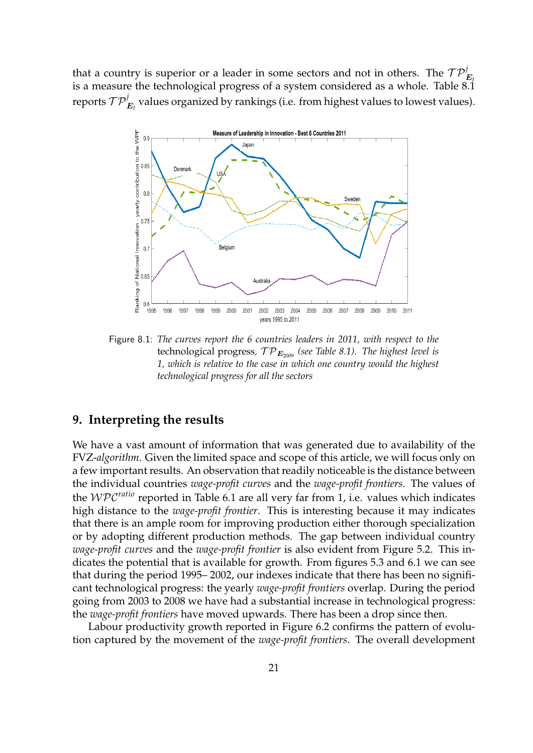that a country is superior or a leader in some sectors and not in others. The  $\mathcal{TP}_{E}^j$ is a measure the technological progress of a system considered as a whole. Table  $8.\overline{1}$ reports  $\mathcal{TP}_{E_{t}}^j$  values organized by rankings (i.e. from highest values to lowest values).



Figure 8.1: *The curves report the 6 countries leaders in 2011, with respect to the* technological progress,  $\mathcal{TP}_{E_{2009}}$  (see Table 8.1). The highest level is *1, which is relative to the case in which one country would the highest technological progress for all the sectors*

## **9. Interpreting the results**

We have a vast amount of information that was generated due to availability of the FVZ-*algorithm*. Given the limited space and scope of this article, we will focus only on a few important results. An observation that readily noticeable is the distance between the individual countries *wage-profit curves* and the *wage-profit frontiers*. The values of the WPC*ratio* reported in Table 6.1 are all very far from 1, i.e. values which indicates high distance to the *wage-profit frontier*. This is interesting because it may indicates that there is an ample room for improving production either thorough specialization or by adopting different production methods. The gap between individual country *wage-profit curves* and the *wage-profit frontier* is also evident from Figure 5.2. This indicates the potential that is available for growth. From figures 5.3 and 6.1 we can see that during the period 1995– 2002, our indexes indicate that there has been no significant technological progress: the yearly *wage-profit frontiers* overlap. During the period going from 2003 to 2008 we have had a substantial increase in technological progress: the *wage-profit frontiers* have moved upwards. There has been a drop since then.

Labour productivity growth reported in Figure 6.2 confirms the pattern of evolution captured by the movement of the *wage-profit frontiers*. The overall development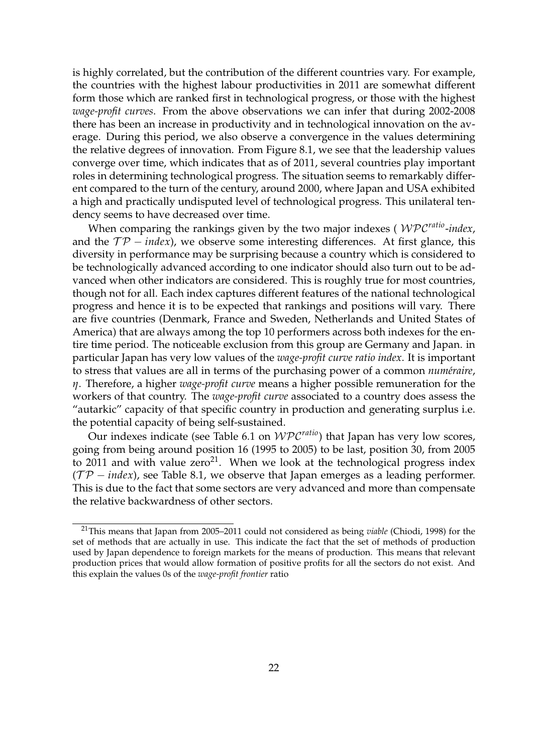is highly correlated, but the contribution of the different countries vary. For example, the countries with the highest labour productivities in 2011 are somewhat different form those which are ranked first in technological progress, or those with the highest *wage-profit curves*. From the above observations we can infer that during 2002-2008 there has been an increase in productivity and in technological innovation on the average. During this period, we also observe a convergence in the values determining the relative degrees of innovation. From Figure 8.1, we see that the leadership values converge over time, which indicates that as of 2011, several countries play important roles in determining technological progress. The situation seems to remarkably different compared to the turn of the century, around 2000, where Japan and USA exhibited a high and practically undisputed level of technological progress. This unilateral tendency seems to have decreased over time.

When comparing the rankings given by the two major indexes ( WPC*ratio* -*index*, and the  $TP - index$ , we observe some interesting differences. At first glance, this diversity in performance may be surprising because a country which is considered to be technologically advanced according to one indicator should also turn out to be advanced when other indicators are considered. This is roughly true for most countries, though not for all. Each index captures different features of the national technological progress and hence it is to be expected that rankings and positions will vary. There are five countries (Denmark, France and Sweden, Netherlands and United States of America) that are always among the top 10 performers across both indexes for the entire time period. The noticeable exclusion from this group are Germany and Japan. in particular Japan has very low values of the *wage-profit curve ratio index*. It is important to stress that values are all in terms of the purchasing power of a common *numéraire*, *η*. Therefore, a higher *wage-profit curve* means a higher possible remuneration for the workers of that country. The *wage-profit curve* associated to a country does assess the "autarkic" capacity of that specific country in production and generating surplus i.e. the potential capacity of being self-sustained.

Our indexes indicate (see Table 6.1 on WPC*ratio*) that Japan has very low scores, going from being around position 16 (1995 to 2005) to be last, position 30, from 2005 to 2011 and with value  $zero^{21}$ . When we look at the technological progress index  $(TP - index)$ , see Table 8.1, we observe that Japan emerges as a leading performer. This is due to the fact that some sectors are very advanced and more than compensate the relative backwardness of other sectors.

<sup>21</sup>This means that Japan from 2005–2011 could not considered as being *viable* (Chiodi, 1998) for the set of methods that are actually in use. This indicate the fact that the set of methods of production used by Japan dependence to foreign markets for the means of production. This means that relevant production prices that would allow formation of positive profits for all the sectors do not exist. And this explain the values 0s of the *wage-profit frontier* ratio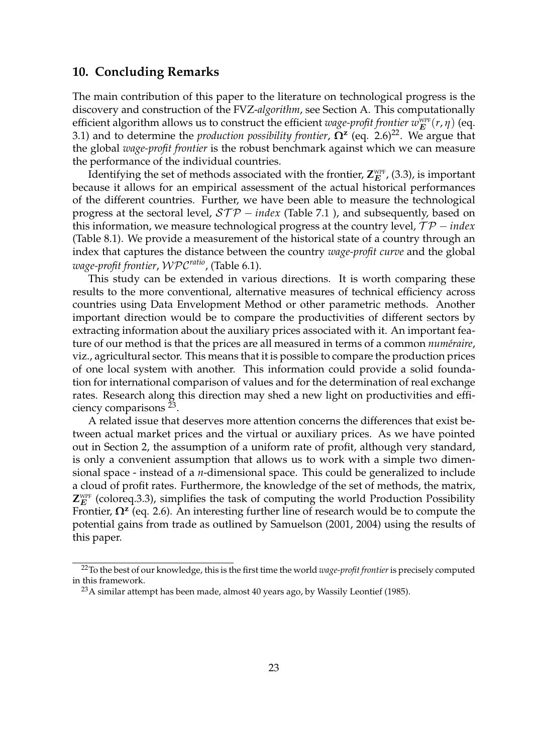#### **10. Concluding Remarks**

The main contribution of this paper to the literature on technological progress is the discovery and construction of the FVZ-*algorithm*, see Section A. This computationally efficient algorithm allows us to construct the efficient *wage-profit frontier*  $w_E^{\text{WPF}}(r, \eta)$  (eq. 3.1) and to determine the *production possibility frontier*,  $\Omega^z$  (eq. 2.6)<sup>22</sup>. We argue that the global *wage-profit frontier* is the robust benchmark against which we can measure the performance of the individual countries.

Identifying the set of methods associated with the frontier,  $\mathsf{Z}_E^{\text{\tiny WPF}}$ , (3.3), is important because it allows for an empirical assessment of the actual historical performances of the different countries. Further, we have been able to measure the technological progress at the sectoral level, *STP* − *index* (Table 7.1), and subsequently, based on this information, we measure technological progress at the country level,  $T P$  − *index* (Table 8.1). We provide a measurement of the historical state of a country through an index that captures the distance between the country *wage-profit curve* and the global *wage-profit frontier*, WPC*ratio*, (Table 6.1).

This study can be extended in various directions. It is worth comparing these results to the more conventional, alternative measures of technical efficiency across countries using Data Envelopment Method or other parametric methods. Another important direction would be to compare the productivities of different sectors by extracting information about the auxiliary prices associated with it. An important feature of our method is that the prices are all measured in terms of a common *numéraire*, viz., agricultural sector. This means that it is possible to compare the production prices of one local system with another. This information could provide a solid foundation for international comparison of values and for the determination of real exchange rates. Research along this direction may shed a new light on productivities and efficiency comparisons <sup>23</sup>.

A related issue that deserves more attention concerns the differences that exist between actual market prices and the virtual or auxiliary prices. As we have pointed out in Section 2, the assumption of a uniform rate of profit, although very standard, is only a convenient assumption that allows us to work with a simple two dimensional space - instead of a *n*-dimensional space. This could be generalized to include a cloud of profit rates. Furthermore, the knowledge of the set of methods, the matrix,  $\mathsf{Z}_E^{\text{\tiny WPF}}$  (coloreq.3.3), simplifies the task of computing the world Production Possibility Frontier, **Ω<sup>z</sup>** (eq. 2.6). An interesting further line of research would be to compute the potential gains from trade as outlined by Samuelson (2001, 2004) using the results of this paper.

<sup>22</sup>To the best of our knowledge, this is the first time the world *wage-profit frontier*is precisely computed in this framework.

<sup>&</sup>lt;sup>23</sup>A similar attempt has been made, almost 40 years ago, by Wassily Leontief (1985).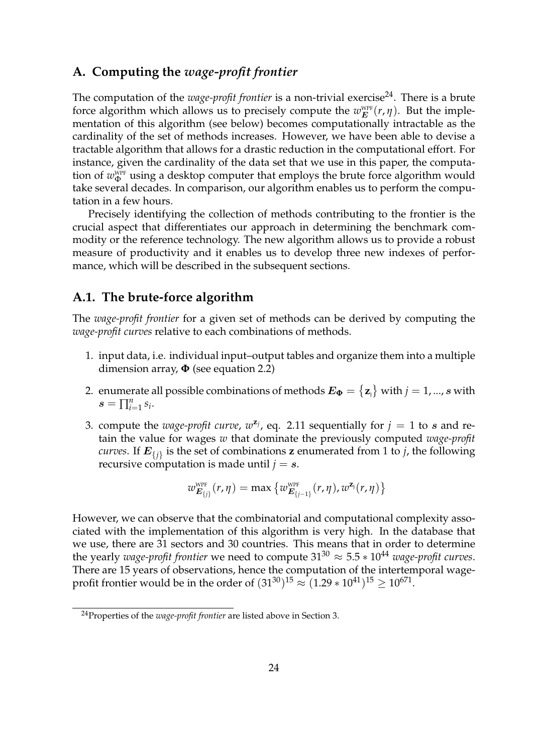## **A. Computing the** *wage-profit frontier*

The computation of the *wage-profit frontier* is a non-trivial exercise<sup>24</sup>. There is a brute force algorithm which allows us to precisely compute the  $w_E^{\text{wpp}}(r, \eta)$ . But the implementation of this algorithm (see below) becomes computationally intractable as the cardinality of the set of methods increases. However, we have been able to devise a tractable algorithm that allows for a drastic reduction in the computational effort. For instance, given the cardinality of the data set that we use in this paper, the computation of  $w_\Phi^{\text{WPF}}$  using a desktop computer that employs the brute force algorithm would take several decades. In comparison, our algorithm enables us to perform the computation in a few hours.

Precisely identifying the collection of methods contributing to the frontier is the crucial aspect that differentiates our approach in determining the benchmark commodity or the reference technology. The new algorithm allows us to provide a robust measure of productivity and it enables us to develop three new indexes of performance, which will be described in the subsequent sections.

# **A.1. The brute-force algorithm**

The *wage-profit frontier* for a given set of methods can be derived by computing the *wage-profit curves* relative to each combinations of methods.

- 1. input data, i.e. individual input–output tables and organize them into a multiple dimension array, **Φ** (see equation 2.2)
- 2.  $\;$  enumerate all possible combinations of methods  $\bm{E_{\Phi}} = \left\{\mathbf{z}_{\mathsf{j}} \right\}$  with  $j = 1,...,s$  with  $s = \prod_{i=1}^{n} s_i$ .
- 3. compute the *wage-profit curve*,  $w^{z_j}$ , eq. 2.11 sequentially for  $j = 1$  to s and retain the value for wages *w* that dominate the previously computed *wage-profit curves*. If  $E_{\{j\}}$  is the set of combinations **z** enumerated from 1 to *j*, the following recursive computation is made until  $j = s$ .

$$
w^{\text{wPF}}_{\boldsymbol{E}_{\{j\}}}(r,\eta) = \max\left\{w^{\text{wPF}}_{\boldsymbol{E}_{\{j-1\}}}(r,\eta),w^{\boldsymbol{z}_j}(r,\eta)\right\}
$$

However, we can observe that the combinatorial and computational complexity associated with the implementation of this algorithm is very high. In the database that we use, there are 31 sectors and 30 countries. This means that in order to determine the yearly *wage-profit frontier* we need to compute  $31^{30} \approx 5.5 * 10^{44}$  *wage-profit curves.* There are 15 years of observations, hence the computation of the intertemporal wageprofit frontier would be in the order of  $(31^{30})^{15}\approx(1.29*10^{41})^{15}\geq10^{671}.$ 

<sup>24</sup>Properties of the *wage-profit frontier* are listed above in Section 3.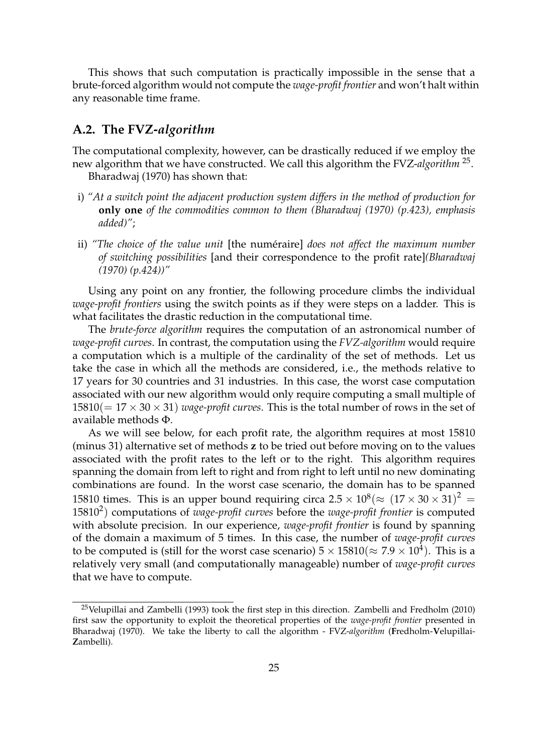This shows that such computation is practically impossible in the sense that a brute-forced algorithm would not compute the *wage-profit frontier* and won't halt within any reasonable time frame.

### **A.2. The FVZ-***algorithm*

The computational complexity, however, can be drastically reduced if we employ the new algorithm that we have constructed. We call this algorithm the FVZ-*algorithm* <sup>25</sup> .

Bharadwaj (1970) has shown that:

- i) *"At a switch point the adjacent production system differs in the method of production for* **only one** *of the commodities common to them (Bharadwaj (1970) (p.423), emphasis added)"*;
- ii) "The choice of the value unit [the numéraire] does not affect the maximum number *of switching possibilities* [and their correspondence to the profit rate]*(Bharadwaj (1970) (p.424))"*

Using any point on any frontier, the following procedure climbs the individual *wage-profit frontiers* using the switch points as if they were steps on a ladder. This is what facilitates the drastic reduction in the computational time.

The *brute-force algorithm* requires the computation of an astronomical number of *wage-profit curves*. In contrast, the computation using the *FVZ-algorithm* would require a computation which is a multiple of the cardinality of the set of methods. Let us take the case in which all the methods are considered, i.e., the methods relative to 17 years for 30 countries and 31 industries. In this case, the worst case computation associated with our new algorithm would only require computing a small multiple of  $15810(= 17 \times 30 \times 31)$  *wage-profit curves*. This is the total number of rows in the set of available methods Φ.

As we will see below, for each profit rate, the algorithm requires at most 15810 (minus 31) alternative set of methods **z** to be tried out before moving on to the values associated with the profit rates to the left or to the right. This algorithm requires spanning the domain from left to right and from right to left until no new dominating combinations are found. In the worst case scenario, the domain has to be spanned 15810 times. This is an upper bound requiring circa  $2.5 \times 10^8 (\approx (17 \times 30 \times 31)^2$  = 15810<sup>2</sup> ) computations of *wage-profit curves* before the *wage-profit frontier* is computed with absolute precision. In our experience, *wage-profit frontier* is found by spanning of the domain a maximum of 5 times. In this case, the number of *wage-profit curves* to be computed is (still for the worst case scenario)  $5 \times 15810 (\approx 7.9 \times 10^4)$ . This is a relatively very small (and computationally manageable) number of *wage-profit curves* that we have to compute.

<sup>&</sup>lt;sup>25</sup>Velupillai and Zambelli (1993) took the first step in this direction. Zambelli and Fredholm (2010) first saw the opportunity to exploit the theoretical properties of the *wage-profit frontier* presented in Bharadwaj (1970). We take the liberty to call the algorithm - FVZ-*algorithm* (**F**redholm-**V**elupillai-**Z**ambelli).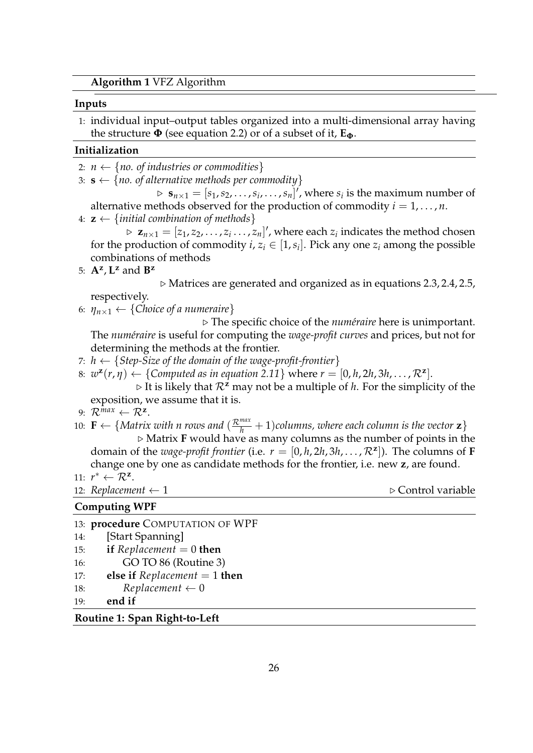#### **Inputs**

1: individual input–output tables organized into a multi-dimensional array having the structure  $\Phi$  (see equation 2.2) or of a subset of it,  $E_{\Phi}$ .

#### **Initialization**

2:  $n \leftarrow \{no. of industries or commodities\}$ 

3:  $\mathbf{s} \leftarrow \{no. of alternative methods per commodity\}$ 

 $S_n \times \mathbf{s}_{n \times 1} = [s_1, s_2, \dots, s_i, \dots, s_n]^T$ , where  $s_i$  is the maximum number of alternative methods observed for the production of commodity  $i = 1, \ldots, n$ .

4:  $z \leftarrow \{initial combination of methods\}$ 

 $\triangleright$   $\mathbf{z}_{n\times 1} = [z_1, z_2, \ldots, z_i \ldots, z_n]'$ , where each  $z_i$  indicates the method chosen for the production of commodity  $i, z_i \in [1, s_i]$ . Pick any one  $z_i$  among the possible combinations of methods

5:  $A^z$ ,  $L^z$  and  $B^z$ 

 $\triangleright$  Matrices are generated and organized as in equations 2.3, 2.4, 2.5, respectively.

6:  $\eta_{n\times1} \leftarrow \{Choice of a numeraire\}$ 

. The specific choice of the *num´eraire* here is unimportant. The *num´eraire* is useful for computing the *wage-profit curves* and prices, but not for determining the methods at the frontier.

- 7:  $h \leftarrow \{Step-Size of the domain of the wage-profit-frontier\}$
- 8:  $w^{\mathbf{z}}(r, \eta) \leftarrow \{\text{Computed as in equation 2.11}\}$  where  $r = [0, h, 2h, 3h, \dots, \mathcal{R}^{\mathbf{z}}].$

 $\triangleright$  It is likely that  $\mathcal{R}^z$  may not be a multiple of *h*. For the simplicity of the exposition, we assume that it is.

- 9:  $\mathcal{R}^{max} \leftarrow \mathcal{R}^{\mathbf{z}}$ .
- 10:  $\mathbf{F} \leftarrow \{Matrix \ with \ n \ rows \ and \ (\frac{\mathcal{R}^{max}}{h} + 1) \ columns, where \ each \ column \ is \ the \ vector \ z\}$  $\triangleright$  Matrix **F** would have as many columns as the number of points in the

domain of the *wage-profit frontier* (i.e.  $r = [0, h, 2h, 3h, \ldots, \mathcal{R}^{\mathbf{z}}]$ ). The columns of **F** change one by one as candidate methods for the frontier, i.e. new **z**, are found.

11:  $r^* \leftarrow \mathcal{R}^{\mathbf{z}}$ .

12: *Replacement*  $\leftarrow$  1  $\triangleright$  Control variable

#### **Computing WPF**

|   | 13: <b>procedure</b> COMPUTATION OF WPF   |
|---|-------------------------------------------|
|   | 14: [Start Spanning]                      |
|   | 15: <b>if</b> Replacement = 0 <b>then</b> |
| . |                                           |

- 16: GO TO 86 (Routine 3)
- 17: **else if** *Replacement* = 1 **then**
- 18:  $\text{Replacement} \leftarrow 0$
- 19: **end if**

#### **Routine 1: Span Right-to-Left**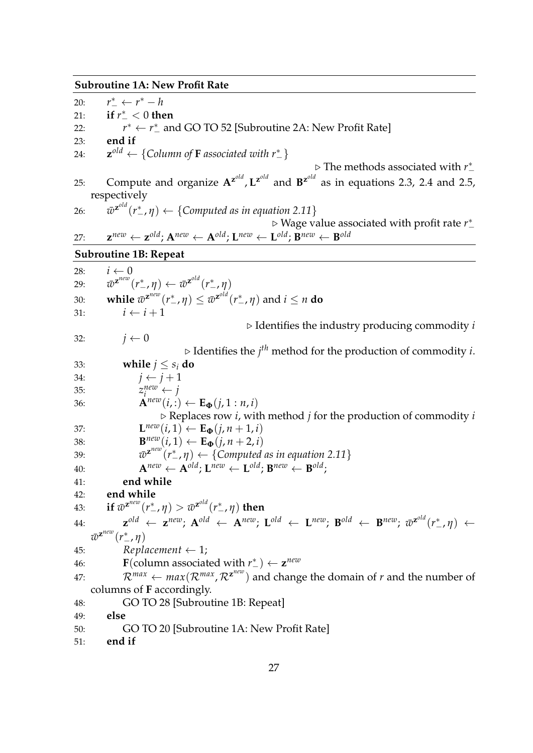#### **Subroutine 1A: New Profit Rate**

 $20:$  $\frac{1}{r} \leftarrow r^* - h$ 21: **if**  $r_{-}^{*} < 0$  then  $22:$ <sup>\*</sup> ←  $r^*$  and GO TO 52 [Subroutine 2A: New Profit Rate] 23: **end if** 24: **z** *old* ← {*Column of* **F** *associated with r*<sup>∗</sup> −} . The methods associated with *r* ∗ − 25: Compute and organize  $A^{z^{old}}$ ,  $L^{z^{old}}$  and  $B^{z^{old}}$  as in equations 2.3, 2.4 and 2.5, respectively 26: *w*¯ **z** *old* (*r* ∗ <sup>−</sup>, *η*) ← {*Computed as in equation 2.11*} . Wage value associated with profit rate *r* ∗ − 27: **z**  $P^{new} \leftarrow \mathbf{z}^{old}$ ;  $\mathbf{A}^{new} \leftarrow \mathbf{A}^{old}$ ;  $\mathbf{L}^{new} \leftarrow \mathbf{L}^{old}$ ;  $\mathbf{B}^{new} \leftarrow \mathbf{B}^{old}$ **Subroutine 1B: Repeat** 28:  $i \leftarrow 0$ 29:  $\qquad \bar{w}^{\mathbf{z}^{new}}(r^*_-,\eta) \leftarrow \bar{w}^{\mathbf{z}^{old}}(r^*_-,\eta)$ 30: **while**  $\bar{w}^{\mathbf{z}^{new}}(r^*_-,\eta) \leq \bar{w}^{\mathbf{z}^{old}}(r^*_-,\eta)$  and  $i \leq n$  do 31:  $i \leftarrow i + 1$  $\triangleright$  Identifies the industry producing commodity *i* 32:  $j \leftarrow 0$  $\triangleright$  Identifies the  $j^{th}$  method for the production of commodity *i*. 33: **while**  $j \leq s_i$  **do** 34:  $j \leftarrow j+1$ 35: *z*  $\sum_{i=1}^{new} \leftarrow j$ 36: **A**<sup>*new*</sup> $(i, :) \leftarrow \mathbf{E}_{\Phi}(j, 1 : n, i)$  $\triangleright$  Replaces row *i*, with method *j* for the production of commodity *i* 37: **L**  $\mathbf{L}^{new}(i,1) \leftarrow \mathbf{E}_{\Phi}(j, n+1, i)$ 38: **B**  $\mathbf{B}^{new}(i,1) \leftarrow \mathbf{E}_{\mathbf{\Phi}}(j,n+2,i)$ 39: *w*¯  $\mathbf{z}^{\text{new}}(r_{-}^{*}, \eta) \leftarrow \{$  Computed as in equation 2.11}  $A^{new} \leftarrow A^{old}; L^{new} \leftarrow L^{old}; B^{new} \leftarrow B^{old};$ 41: **end while** 42: **end while** 43: **if**  $\bar{w}^{\mathbf{z}^{new}}(r^*_-,\eta) > \bar{w}^{\mathbf{z}^{old}}(r^*_-,\eta)$  then 44: **z**  $\mathbf{A}^{old} \leftarrow \mathbf{A}^{new}; \ \mathbf{A}^{old} \leftarrow \mathbf{A}^{new}; \ \mathbf{L}^{old} \leftarrow \mathbf{L}^{new}; \ \mathbf{B}^{old} \leftarrow \mathbf{B}^{new}; \ \bar{w}^{\mathbf{z}^{old}}(r^*_{-}, \eta) \leftarrow$  $\bar{w}^{\mathbf{z}^{new}}(r^*_{-}, \eta)$ 45: **Replacement**  $\leftarrow$  1; 46: **F**(column associated with  $r_{-}^{*}$ ) ← **z**<sup>new</sup> 47:  $\mathcal{R}^{max} \leftarrow max(\mathcal{R}^{max}, \mathcal{R}^{z^{new}})$  and change the domain of *r* and the number of columns of **F** accordingly. 48: GO TO 28 [Subroutine 1B: Repeat] 49: **else** 50: GO TO 20 [Subroutine 1A: New Profit Rate] 51: **end if**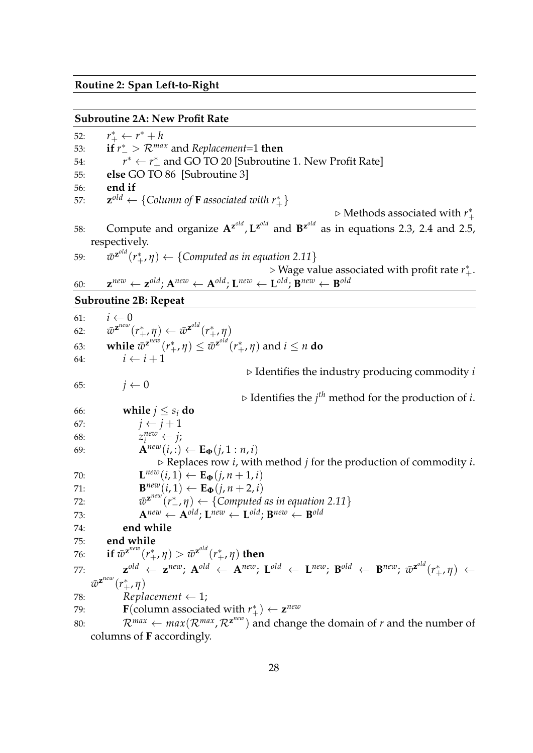#### **Routine 2: Span Left-to-Right**

#### **Subroutine 2A: New Profit Rate**

52: *r* ∗ <sup>+</sup> ← *r* <sup>∗</sup> + *h* 53: **if**  $r_{-}^{*} > \mathcal{R}^{max}$  and *Replacement*=1 **then** 54: *r*  $*$  ←  $r_+^*$  and GO TO 20 [Subroutine 1. New Profit Rate] 55: **else** GO TO 86 [Subroutine 3] 56: **end if** 57: **z** *old* ← {*Column of* **F** *associated with r*<sup>∗</sup> +} ⊳ Methods associated with  $r^*_{+}$ 58: Compute and organize  $A^{z^{old}}$ ,  $L^{z^{old}}$  and  $B^{z^{old}}$  as in equations 2.3, 2.4 and 2.5, respectively. 59:  $\qquad \bar{w}^{\mathbf{z}^{old}}(r_+^*,\eta) \leftarrow \{\textit{Computed as in equation 2.11}\}$ ⊳ Wage value associated with profit rate  $r^*_{+}$ . 60: **z**  $P^{new} \leftarrow \mathbf{z}^{old}$ ;  $\mathbf{A}^{new} \leftarrow \mathbf{A}^{old}$ ;  $\mathbf{L}^{new} \leftarrow \mathbf{L}^{old}$ ;  $\mathbf{B}^{new} \leftarrow \mathbf{B}^{old}$ **Subroutine 2B: Repeat** 61:  $i \leftarrow 0$  $62:$  $\boldsymbol{z}^{\textit{new}}(r_+^*, \eta) \leftarrow \bar{w}^{\boldsymbol{z}^{\textit{old}}}(r_+^*, \eta)$ 63: **while**  $\bar{w}^{\mathbf{z}^{new}}(r_+^*, \eta) \leq \bar{w}^{\mathbf{z}^{old}}(r_+^*, \eta)$  and  $i \leq n$  do 64:  $i \leftarrow i+1$  $\triangleright$  Identifies the industry producing commodity *i* 65:  $j \leftarrow 0$ 

 $\triangleright$  Identifies the  $j^{th}$  method for the production of *i*.

67:  $j \leftarrow j+1$ 

68: *z*  $\sum_{i=1}^{new} \leftarrow j;$ 

66: **while**  $j \leq s_i$  **do** 

69: **A**<sup>*new*</sup> $(i, :) \leftarrow \mathbf{E}_{\Phi}(j, 1 : n, i)$ 

 $\triangleright$  Replaces row *i*, with method *j* for the production of commodity *i*.

70: 
$$
\mathbf{L}^{new}(i,1) \leftarrow \mathbf{E}_{\mathbf{\Phi}}(j,n+1,i)
$$

$$
\mathbf{R}^{new}(i,1) \leftarrow \mathbf{F}_{\mathbf{\Phi}}(j,n+2,i)
$$

71: 
$$
\mathbf{B}^{new}(i,1) \leftarrow \mathbf{E}_{\Phi}(j,n+2,i)
$$
  
72: 
$$
\overline{v}^2^{new}(r^*n) \leftarrow \text{Computed as in eq.}
$$

72: 
$$
\overline{w}^{z^{new}}(r^*, \eta) \leftarrow \{Compute\ as\ in\ equation\ 2.11\}
$$

73: 
$$
\mathbf{A}^{new} \leftarrow \mathbf{A}^{old}; \mathbf{L}^{new} \leftarrow \mathbf{L}^{old}; \mathbf{B}^{new} \leftarrow \mathbf{B}^{old}
$$

## 74: **end while**

75: **end while**

76: if 
$$
\overline{w}^{\mathbf{z}^{new}}(r_+^*, \eta) > \overline{w}^{\mathbf{z}^{old}}(r_+^*, \eta)
$$
 then

77: 
$$
\mathbf{z}^{old} \leftarrow \mathbf{z}^{new}
$$
;  $\mathbf{A}^{old} \leftarrow \mathbf{A}^{new}$ ;  $\mathbf{L}^{old} \leftarrow \mathbf{L}^{new}$ ;  $\mathbf{B}^{old} \leftarrow \mathbf{B}^{new}$ ;  $\bar{w}^{\mathbf{z}^{old}}(r_{+}^{*}, \eta) \leftarrow \bar{w}^{\mathbf{z}^{new}}$ 

78: *Replacement* ← 1;

- 79: **F**(column associated with  $r^*_{+}$ ) ← **z**<sup>new</sup>
- 80:  $\mathcal{R}^{max} \leftarrow max(\mathcal{R}^{max}, \mathcal{R}^{z^{new}})$  and change the domain of *r* and the number of columns of **F** accordingly.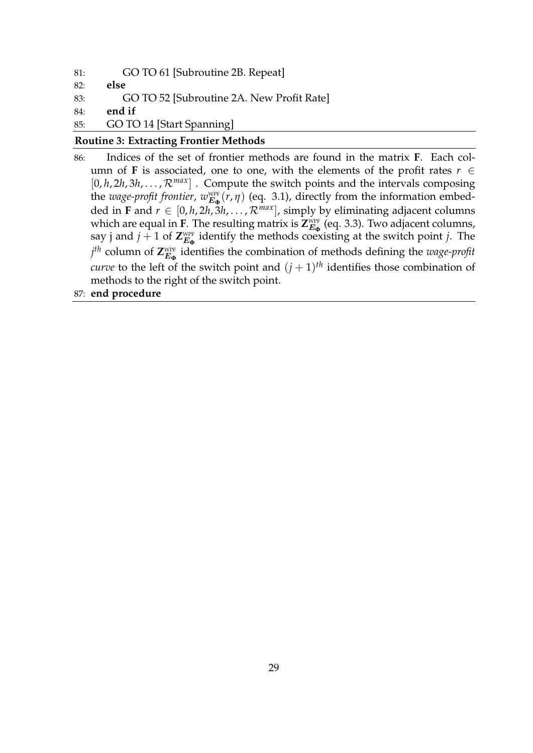81: GO TO 61 [Subroutine 2B. Repeat] 82: **else** 83: GO TO 52 [Subroutine 2A. New Profit Rate] 84: **end if** 85: GO TO 14 [Start Spanning]

#### **Routine 3: Extracting Frontier Methods**

- 86: Indices of the set of frontier methods are found in the matrix **F**. Each column of **F** is associated, one to one, with the elements of the profit rates  $r \in$  $[0, h, 2h, 3h, \ldots, \mathcal{R}^{max}]$ . Compute the switch points and the intervals composing the *wage-profit frontier*,  $w_{E_{\Phi}}^{\text{WPF}}(r, \eta)$  (eq. 3.1), directly from the information embedded in **F** and  $r \in [0, h, 2h, \overline{3}h, \ldots, \mathcal{R}^{max}]$ , simply by eliminating adjacent columns which are equal in **F**. The resulting matrix is  $Z_{E_{\Phi}}^{\text{WFF}}$  (eq. 3.3). Two adjacent columns, say j and  $j + 1$  of  $\mathbf{Z}_{\mathbf{E}_{\Phi}}^{\text{WPF}}$  identify the methods coexisting at the switch point *j*. The  $j^{th}$  column of  $\mathbf{Z}_{\mathbf{E}_{\Phi}}^{\text{WPF}}$  identifies the combination of methods defining the *wage-profit curve* to the left of the switch point and  $(j + 1)$ <sup>th</sup> identifies those combination of methods to the right of the switch point.
- 87: **end procedure**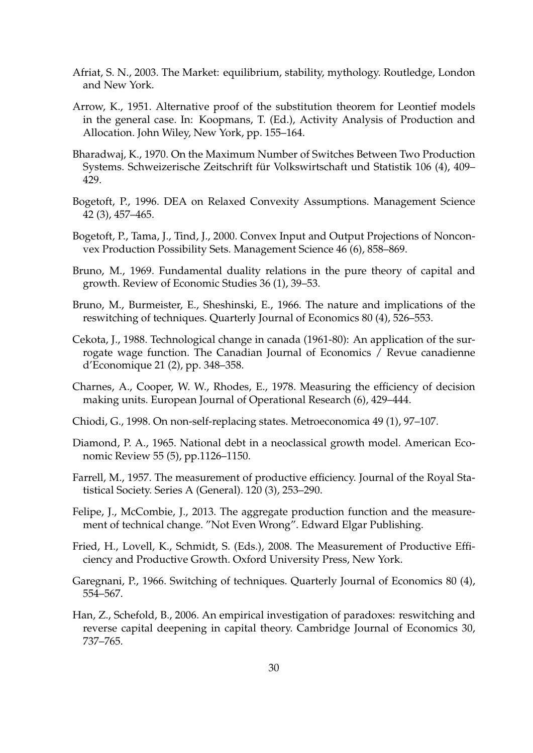- Afriat, S. N., 2003. The Market: equilibrium, stability, mythology. Routledge, London and New York.
- Arrow, K., 1951. Alternative proof of the substitution theorem for Leontief models in the general case. In: Koopmans, T. (Ed.), Activity Analysis of Production and Allocation. John Wiley, New York, pp. 155–164.
- Bharadwaj, K., 1970. On the Maximum Number of Switches Between Two Production Systems. Schweizerische Zeitschrift für Volkswirtschaft und Statistik 106 (4), 409– 429.
- Bogetoft, P., 1996. DEA on Relaxed Convexity Assumptions. Management Science 42 (3), 457–465.
- Bogetoft, P., Tama, J., Tind, J., 2000. Convex Input and Output Projections of Nonconvex Production Possibility Sets. Management Science 46 (6), 858–869.
- Bruno, M., 1969. Fundamental duality relations in the pure theory of capital and growth. Review of Economic Studies 36 (1), 39–53.
- Bruno, M., Burmeister, E., Sheshinski, E., 1966. The nature and implications of the reswitching of techniques. Quarterly Journal of Economics 80 (4), 526–553.
- Cekota, J., 1988. Technological change in canada (1961-80): An application of the surrogate wage function. The Canadian Journal of Economics / Revue canadienne d'Economique 21 (2), pp. 348–358.
- Charnes, A., Cooper, W. W., Rhodes, E., 1978. Measuring the efficiency of decision making units. European Journal of Operational Research (6), 429–444.
- Chiodi, G., 1998. On non-self-replacing states. Metroeconomica 49 (1), 97–107.
- Diamond, P. A., 1965. National debt in a neoclassical growth model. American Economic Review 55 (5), pp.1126–1150.
- Farrell, M., 1957. The measurement of productive efficiency. Journal of the Royal Statistical Society. Series A (General). 120 (3), 253–290.
- Felipe, J., McCombie, J., 2013. The aggregate production function and the measurement of technical change. "Not Even Wrong". Edward Elgar Publishing.
- Fried, H., Lovell, K., Schmidt, S. (Eds.), 2008. The Measurement of Productive Efficiency and Productive Growth. Oxford University Press, New York.
- Garegnani, P., 1966. Switching of techniques. Quarterly Journal of Economics 80 (4), 554–567.
- Han, Z., Schefold, B., 2006. An empirical investigation of paradoxes: reswitching and reverse capital deepening in capital theory. Cambridge Journal of Economics 30, 737–765.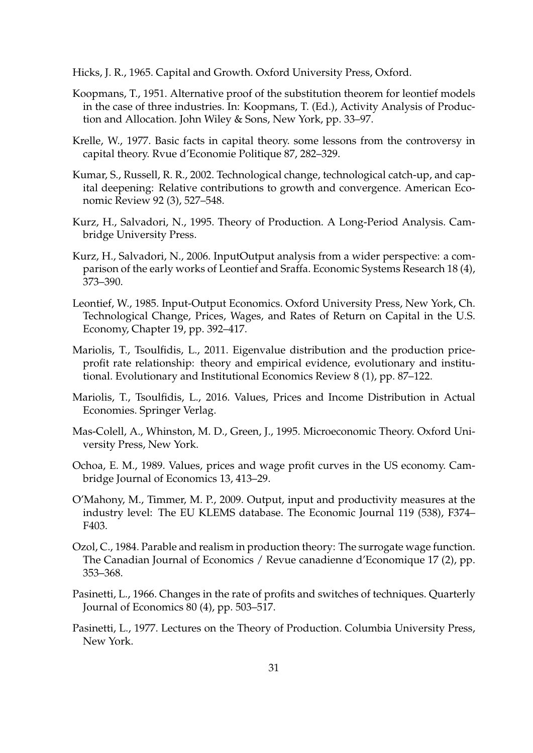Hicks, J. R., 1965. Capital and Growth. Oxford University Press, Oxford.

- Koopmans, T., 1951. Alternative proof of the substitution theorem for leontief models in the case of three industries. In: Koopmans, T. (Ed.), Activity Analysis of Production and Allocation. John Wiley & Sons, New York, pp. 33–97.
- Krelle, W., 1977. Basic facts in capital theory. some lessons from the controversy in capital theory. Rvue d'Economie Politique 87, 282–329.
- Kumar, S., Russell, R. R., 2002. Technological change, technological catch-up, and capital deepening: Relative contributions to growth and convergence. American Economic Review 92 (3), 527–548.
- Kurz, H., Salvadori, N., 1995. Theory of Production. A Long-Period Analysis. Cambridge University Press.
- Kurz, H., Salvadori, N., 2006. InputOutput analysis from a wider perspective: a comparison of the early works of Leontief and Sraffa. Economic Systems Research 18 (4), 373–390.
- Leontief, W., 1985. Input-Output Economics. Oxford University Press, New York, Ch. Technological Change, Prices, Wages, and Rates of Return on Capital in the U.S. Economy, Chapter 19, pp. 392–417.
- Mariolis, T., Tsoulfidis, L., 2011. Eigenvalue distribution and the production priceprofit rate relationship: theory and empirical evidence, evolutionary and institutional. Evolutionary and Institutional Economics Review 8 (1), pp. 87–122.
- Mariolis, T., Tsoulfidis, L., 2016. Values, Prices and Income Distribution in Actual Economies. Springer Verlag.
- Mas-Colell, A., Whinston, M. D., Green, J., 1995. Microeconomic Theory. Oxford University Press, New York.
- Ochoa, E. M., 1989. Values, prices and wage profit curves in the US economy. Cambridge Journal of Economics 13, 413–29.
- O'Mahony, M., Timmer, M. P., 2009. Output, input and productivity measures at the industry level: The EU KLEMS database. The Economic Journal 119 (538), F374– F403.
- Ozol, C., 1984. Parable and realism in production theory: The surrogate wage function. The Canadian Journal of Economics / Revue canadienne d'Economique 17 (2), pp. 353–368.
- Pasinetti, L., 1966. Changes in the rate of profits and switches of techniques. Quarterly Journal of Economics 80 (4), pp. 503–517.
- Pasinetti, L., 1977. Lectures on the Theory of Production. Columbia University Press, New York.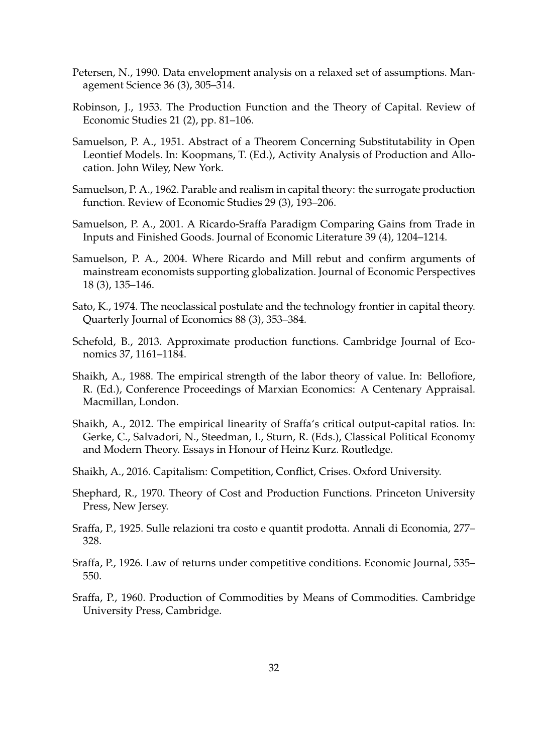- Petersen, N., 1990. Data envelopment analysis on a relaxed set of assumptions. Management Science 36 (3), 305–314.
- Robinson, J., 1953. The Production Function and the Theory of Capital. Review of Economic Studies 21 (2), pp. 81–106.
- Samuelson, P. A., 1951. Abstract of a Theorem Concerning Substitutability in Open Leontief Models. In: Koopmans, T. (Ed.), Activity Analysis of Production and Allocation. John Wiley, New York.
- Samuelson, P. A., 1962. Parable and realism in capital theory: the surrogate production function. Review of Economic Studies 29 (3), 193–206.
- Samuelson, P. A., 2001. A Ricardo-Sraffa Paradigm Comparing Gains from Trade in Inputs and Finished Goods. Journal of Economic Literature 39 (4), 1204–1214.
- Samuelson, P. A., 2004. Where Ricardo and Mill rebut and confirm arguments of mainstream economists supporting globalization. Journal of Economic Perspectives 18 (3), 135–146.
- Sato, K., 1974. The neoclassical postulate and the technology frontier in capital theory. Quarterly Journal of Economics 88 (3), 353–384.
- Schefold, B., 2013. Approximate production functions. Cambridge Journal of Economics 37, 1161–1184.
- Shaikh, A., 1988. The empirical strength of the labor theory of value. In: Bellofiore, R. (Ed.), Conference Proceedings of Marxian Economics: A Centenary Appraisal. Macmillan, London.
- Shaikh, A., 2012. The empirical linearity of Sraffa's critical output-capital ratios. In: Gerke, C., Salvadori, N., Steedman, I., Sturn, R. (Eds.), Classical Political Economy and Modern Theory. Essays in Honour of Heinz Kurz. Routledge.
- Shaikh, A., 2016. Capitalism: Competition, Conflict, Crises. Oxford University.
- Shephard, R., 1970. Theory of Cost and Production Functions. Princeton University Press, New Jersey.
- Sraffa, P., 1925. Sulle relazioni tra costo e quantit prodotta. Annali di Economia, 277– 328.
- Sraffa, P., 1926. Law of returns under competitive conditions. Economic Journal, 535– 550.
- Sraffa, P., 1960. Production of Commodities by Means of Commodities. Cambridge University Press, Cambridge.